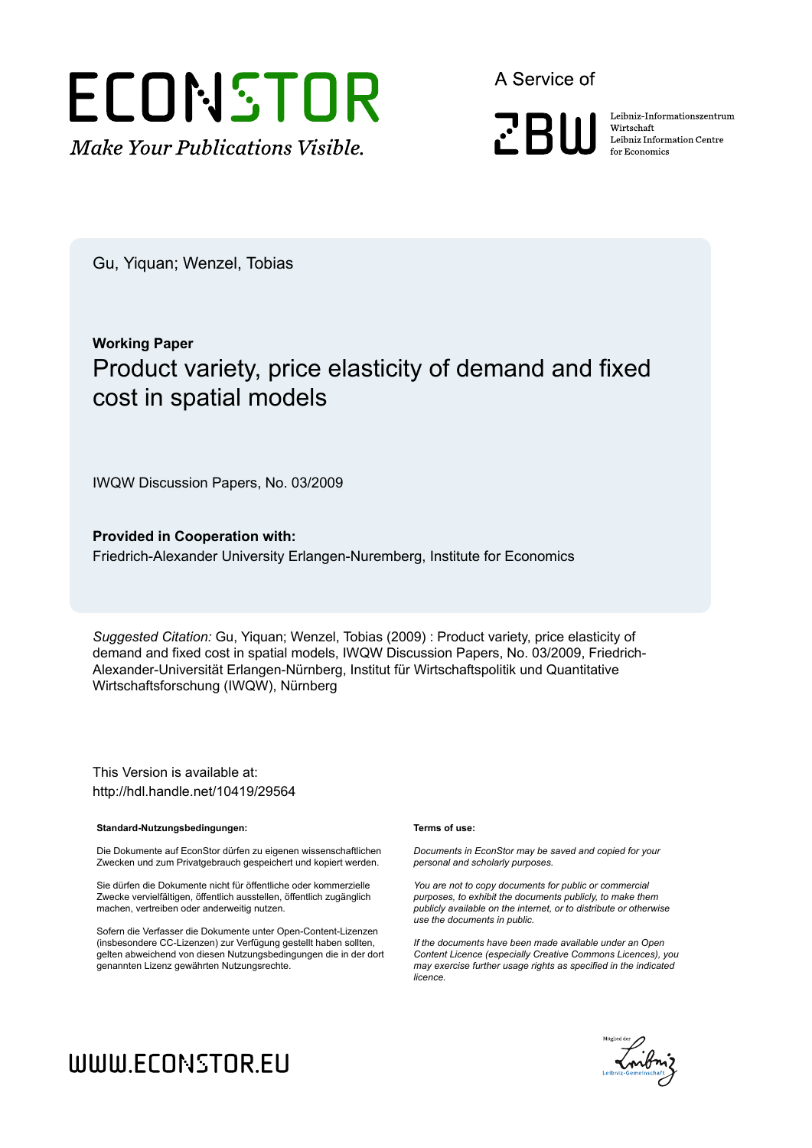

A Service of

**PRIII** 

Leibniz Informationszentrum Wirtschaft Leibniz Information Centre for Economics

Gu, Yiquan; Wenzel, Tobias

# **Working Paper** Product variety, price elasticity of demand and fixed cost in spatial models

IWQW Discussion Papers, No. 03/2009

**Provided in Cooperation with:** Friedrich-Alexander University Erlangen-Nuremberg, Institute for Economics

*Suggested Citation:* Gu, Yiquan; Wenzel, Tobias (2009) : Product variety, price elasticity of demand and fixed cost in spatial models, IWQW Discussion Papers, No. 03/2009, Friedrich-Alexander-Universität Erlangen-Nürnberg, Institut für Wirtschaftspolitik und Quantitative Wirtschaftsforschung (IWQW), Nürnberg

This Version is available at: http://hdl.handle.net/10419/29564

#### **Standard-Nutzungsbedingungen:**

Die Dokumente auf EconStor dürfen zu eigenen wissenschaftlichen Zwecken und zum Privatgebrauch gespeichert und kopiert werden.

Sie dürfen die Dokumente nicht für öffentliche oder kommerzielle Zwecke vervielfältigen, öffentlich ausstellen, öffentlich zugänglich machen, vertreiben oder anderweitig nutzen.

Sofern die Verfasser die Dokumente unter Open-Content-Lizenzen (insbesondere CC-Lizenzen) zur Verfügung gestellt haben sollten, gelten abweichend von diesen Nutzungsbedingungen die in der dort genannten Lizenz gewährten Nutzungsrechte.

#### **Terms of use:**

*Documents in EconStor may be saved and copied for your personal and scholarly purposes.*

*You are not to copy documents for public or commercial purposes, to exhibit the documents publicly, to make them publicly available on the internet, or to distribute or otherwise use the documents in public.*

*If the documents have been made available under an Open Content Licence (especially Creative Commons Licences), you may exercise further usage rights as specified in the indicated licence.*



# WWW.ECONSTOR.EU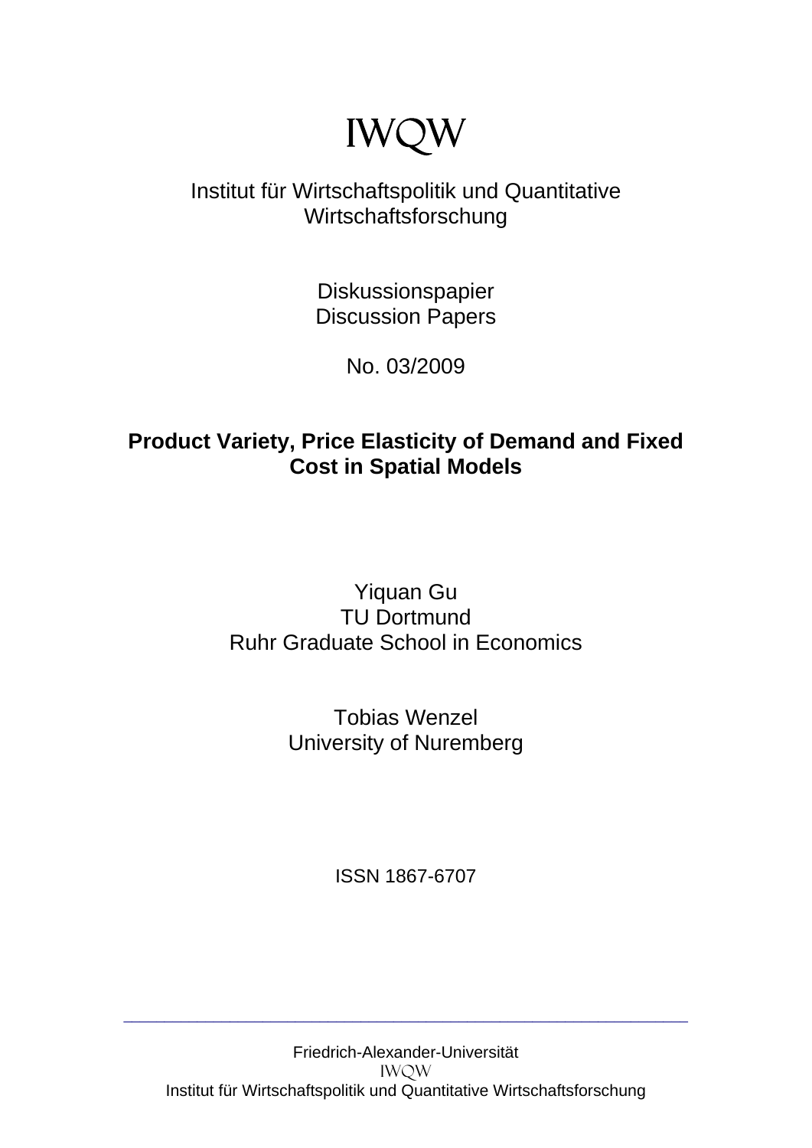# IWQW

# Institut für Wirtschaftspolitik und Quantitative Wirtschaftsforschung

Diskussionspapier Discussion Papers

No. 03/2009

# **Product Variety, Price Elasticity of Demand and Fixed Cost in Spatial Models**

# Yiquan Gu TU Dortmund Ruhr Graduate School in Economics

Tobias Wenzel University of Nuremberg

ISSN 1867-6707

\_\_\_\_\_\_\_\_\_\_\_\_\_\_\_\_\_\_\_\_\_\_\_\_\_\_\_\_\_\_\_\_\_\_\_\_\_\_\_\_\_\_\_\_\_\_\_\_\_\_\_\_\_\_\_\_\_\_\_\_\_\_\_\_\_\_\_\_\_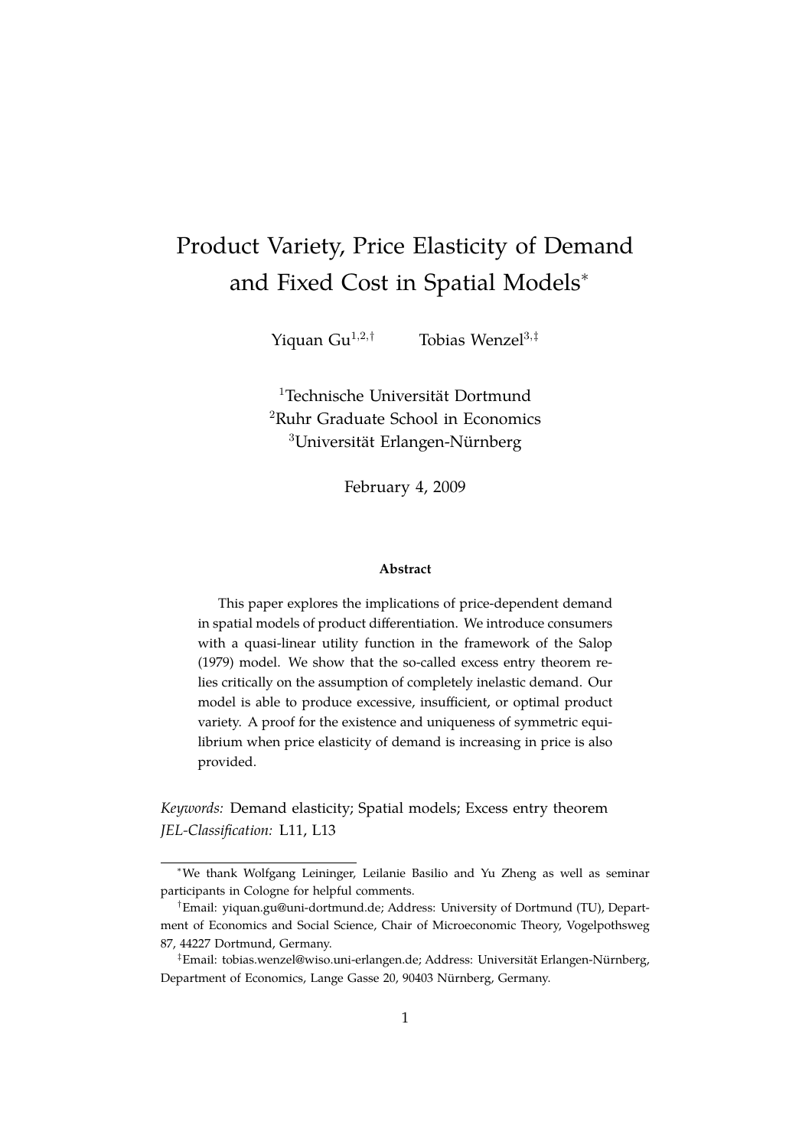# <span id="page-2-0"></span>Product Variety, Price Elasticity of Demand and Fixed Cost in Spatial Models<sup>∗</sup>

Yiquan Gu<sup>1,2,†</sup> Tobias Wenzel<sup>3,‡</sup>

<sup>1</sup>Technische Universität Dortmund <sup>2</sup>Ruhr Graduate School in Economics  $3$ Universität Erlangen-Nürnberg

February 4, 2009

#### **Abstract**

This paper explores the implications of price-dependent demand in spatial models of product differentiation. We introduce consumers with a quasi-linear utility function in the framework of the [Salop](#page-25-0) [\(1979\)](#page-25-0) model. We show that the so-called excess entry theorem relies critically on the assumption of completely inelastic demand. Our model is able to produce excessive, insufficient, or optimal product variety. A proof for the existence and uniqueness of symmetric equilibrium when price elasticity of demand is increasing in price is also provided.

*Keywords:* Demand elasticity; Spatial models; Excess entry theorem *JEL-Classification:* L11, L13

<sup>∗</sup>We thank Wolfgang Leininger, Leilanie Basilio and Yu Zheng as well as seminar participants in Cologne for helpful comments.

<sup>†</sup>Email: yiquan.gu@uni-dortmund.de; Address: University of Dortmund (TU), Department of Economics and Social Science, Chair of Microeconomic Theory, Vogelpothsweg 87, 44227 Dortmund, Germany.

<sup>&</sup>lt;sup>‡</sup>Email: tobias.wenzel@wiso.uni-erlangen.de; Address: Universität Erlangen-Nürnberg, Department of Economics, Lange Gasse 20, 90403 Nürnberg, Germany.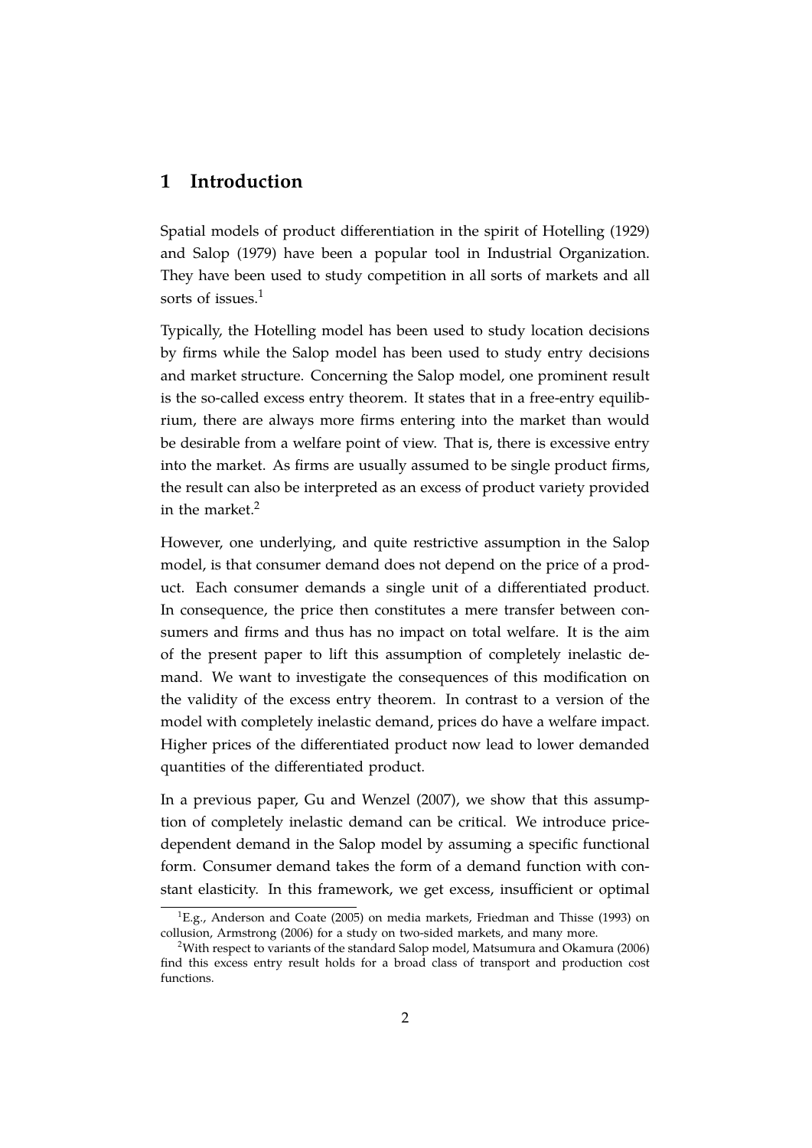### **1 Introduction**

Spatial models of product differentiation in the spirit of [Hotelling](#page-24-0) [\(1929\)](#page-24-0) and [Salop](#page-25-0) [\(1979\)](#page-25-0) have been a popular tool in Industrial Organization. They have been used to study competition in all sorts of markets and all sorts of issues.<sup>[1](#page-2-0)</sup>

Typically, the Hotelling model has been used to study location decisions by firms while the Salop model has been used to study entry decisions and market structure. Concerning the Salop model, one prominent result is the so-called excess entry theorem. It states that in a free-entry equilibrium, there are always more firms entering into the market than would be desirable from a welfare point of view. That is, there is excessive entry into the market. As firms are usually assumed to be single product firms, the result can also be interpreted as an excess of product variety provided in the market.<sup>[2](#page-2-0)</sup>

However, one underlying, and quite restrictive assumption in the Salop model, is that consumer demand does not depend on the price of a product. Each consumer demands a single unit of a differentiated product. In consequence, the price then constitutes a mere transfer between consumers and firms and thus has no impact on total welfare. It is the aim of the present paper to lift this assumption of completely inelastic demand. We want to investigate the consequences of this modification on the validity of the excess entry theorem. In contrast to a version of the model with completely inelastic demand, prices do have a welfare impact. Higher prices of the differentiated product now lead to lower demanded quantities of the differentiated product.

In a previous paper, [Gu and Wenzel](#page-24-1) [\(2007\)](#page-24-1), we show that this assumption of completely inelastic demand can be critical. We introduce pricedependent demand in the Salop model by assuming a specific functional form. Consumer demand takes the form of a demand function with constant elasticity. In this framework, we get excess, insufficient or optimal

 ${}^{1}E.$ g., [Anderson and Coate](#page-24-2) [\(2005\)](#page-24-2) on media markets, [Friedman and Thisse](#page-24-3) [\(1993\)](#page-24-3) on collusion, [Armstrong](#page-24-4) [\(2006\)](#page-24-4) for a study on two-sided markets, and many more.

<sup>2</sup>With respect to variants of the standard Salop model, [Matsumura and Okamura](#page-25-1) [\(2006\)](#page-25-1) find this excess entry result holds for a broad class of transport and production cost functions.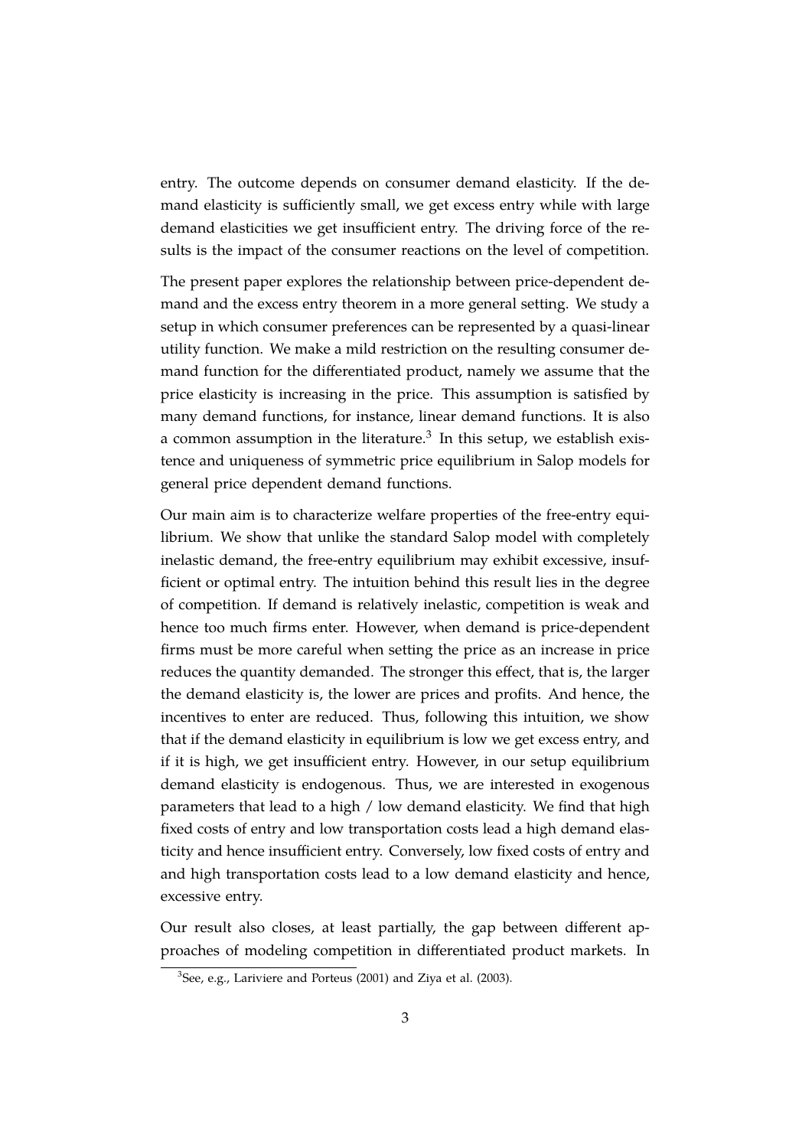entry. The outcome depends on consumer demand elasticity. If the demand elasticity is sufficiently small, we get excess entry while with large demand elasticities we get insufficient entry. The driving force of the results is the impact of the consumer reactions on the level of competition.

The present paper explores the relationship between price-dependent demand and the excess entry theorem in a more general setting. We study a setup in which consumer preferences can be represented by a quasi-linear utility function. We make a mild restriction on the resulting consumer demand function for the differentiated product, namely we assume that the price elasticity is increasing in the price. This assumption is satisfied by many demand functions, for instance, linear demand functions. It is also a common assumption in the literature.<sup>[3](#page-2-0)</sup> In this setup, we establish existence and uniqueness of symmetric price equilibrium in Salop models for general price dependent demand functions.

Our main aim is to characterize welfare properties of the free-entry equilibrium. We show that unlike the standard Salop model with completely inelastic demand, the free-entry equilibrium may exhibit excessive, insufficient or optimal entry. The intuition behind this result lies in the degree of competition. If demand is relatively inelastic, competition is weak and hence too much firms enter. However, when demand is price-dependent firms must be more careful when setting the price as an increase in price reduces the quantity demanded. The stronger this effect, that is, the larger the demand elasticity is, the lower are prices and profits. And hence, the incentives to enter are reduced. Thus, following this intuition, we show that if the demand elasticity in equilibrium is low we get excess entry, and if it is high, we get insufficient entry. However, in our setup equilibrium demand elasticity is endogenous. Thus, we are interested in exogenous parameters that lead to a high / low demand elasticity. We find that high fixed costs of entry and low transportation costs lead a high demand elasticity and hence insufficient entry. Conversely, low fixed costs of entry and and high transportation costs lead to a low demand elasticity and hence, excessive entry.

Our result also closes, at least partially, the gap between different approaches of modeling competition in differentiated product markets. In

 ${}^{3}$ See, e.g., [Lariviere and Porteus](#page-25-2) [\(2001\)](#page-25-2) and [Ziya et al.](#page-25-3) [\(2003\)](#page-25-3).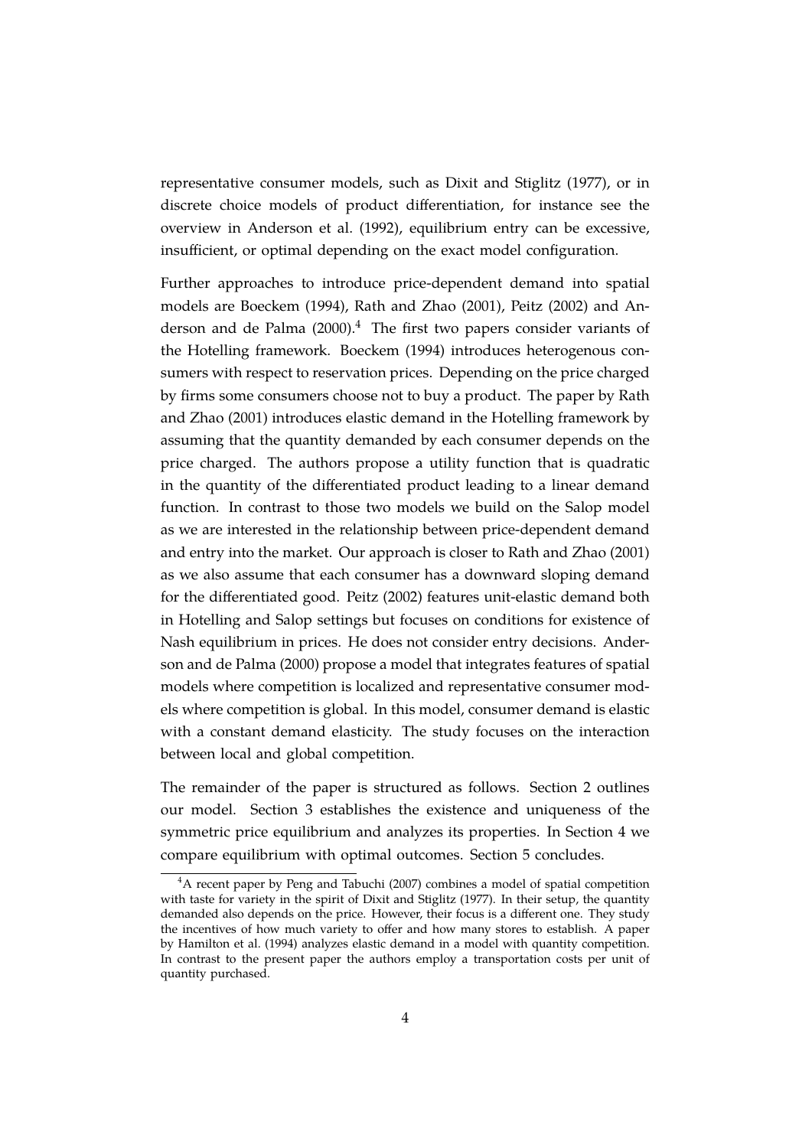representative consumer models, such as [Dixit and Stiglitz](#page-24-5) [\(1977\)](#page-24-5), or in discrete choice models of product differentiation, for instance see the overview in [Anderson et al.](#page-24-6) [\(1992\)](#page-24-6), equilibrium entry can be excessive, insufficient, or optimal depending on the exact model configuration.

Further approaches to introduce price-dependent demand into spatial models are [Boeckem](#page-24-7) [\(1994\)](#page-24-7), [Rath and Zhao](#page-25-4) [\(2001\)](#page-25-4), [Peitz](#page-25-5) [\(2002\)](#page-25-5) and [An](#page-24-8)[derson and de Palma](#page-24-8)  $(2000)^4$  $(2000)^4$  $(2000)^4$ . The first two papers consider variants of the Hotelling framework. [Boeckem](#page-24-7) [\(1994\)](#page-24-7) introduces heterogenous consumers with respect to reservation prices. Depending on the price charged by firms some consumers choose not to buy a product. The paper by [Rath](#page-25-4) [and Zhao](#page-25-4) [\(2001\)](#page-25-4) introduces elastic demand in the Hotelling framework by assuming that the quantity demanded by each consumer depends on the price charged. The authors propose a utility function that is quadratic in the quantity of the differentiated product leading to a linear demand function. In contrast to those two models we build on the Salop model as we are interested in the relationship between price-dependent demand and entry into the market. Our approach is closer to [Rath and Zhao](#page-25-4) [\(2001\)](#page-25-4) as we also assume that each consumer has a downward sloping demand for the differentiated good. [Peitz](#page-25-5) [\(2002\)](#page-25-5) features unit-elastic demand both in Hotelling and Salop settings but focuses on conditions for existence of Nash equilibrium in prices. He does not consider entry decisions. [Ander](#page-24-8)[son and de Palma](#page-24-8) [\(2000\)](#page-24-8) propose a model that integrates features of spatial models where competition is localized and representative consumer models where competition is global. In this model, consumer demand is elastic with a constant demand elasticity. The study focuses on the interaction between local and global competition.

The remainder of the paper is structured as follows. Section [2](#page-6-0) outlines our model. Section [3](#page-9-0) establishes the existence and uniqueness of the symmetric price equilibrium and analyzes its properties. In Section [4](#page-14-0) we compare equilibrium with optimal outcomes. Section [5](#page-16-0) concludes.

<sup>&</sup>lt;sup>4</sup>A recent paper by [Peng and Tabuchi](#page-25-6) [\(2007\)](#page-25-6) combines a model of spatial competition with taste for variety in the spirit of [Dixit and Stiglitz](#page-24-5) [\(1977\)](#page-24-5). In their setup, the quantity demanded also depends on the price. However, their focus is a different one. They study the incentives of how much variety to offer and how many stores to establish. A paper by [Hamilton et al.](#page-24-9) [\(1994\)](#page-24-9) analyzes elastic demand in a model with quantity competition. In contrast to the present paper the authors employ a transportation costs per unit of quantity purchased.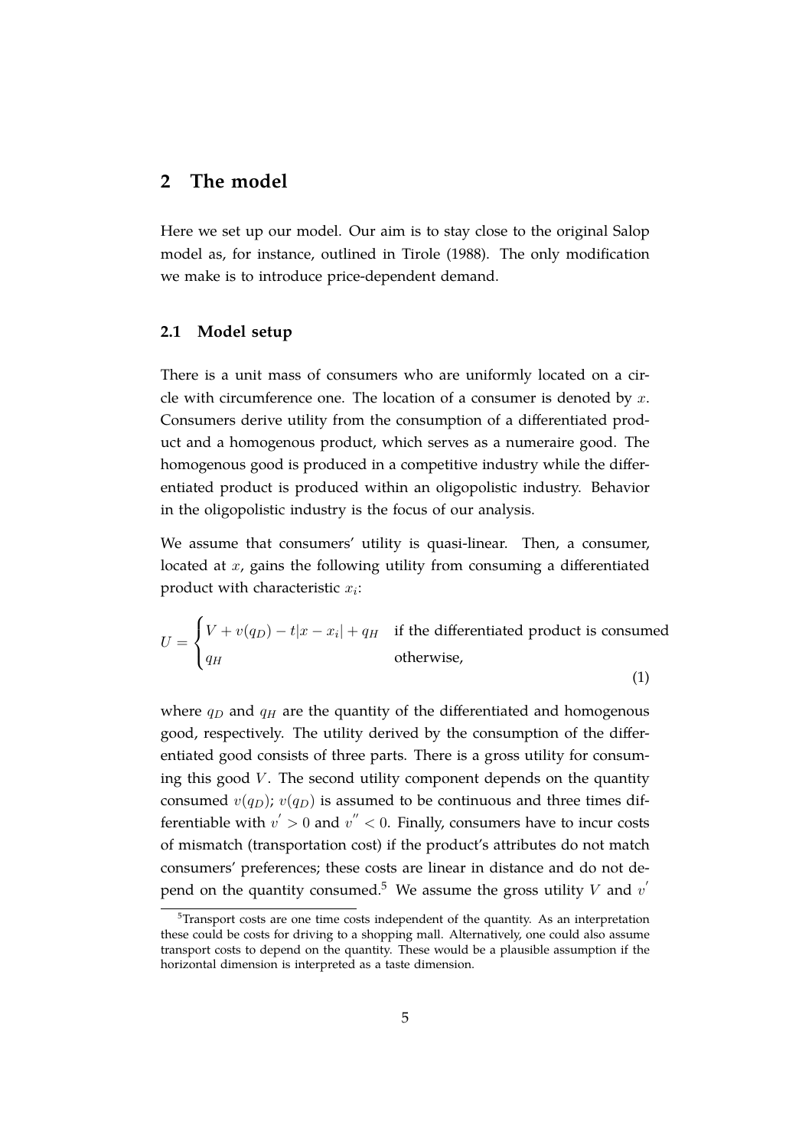## <span id="page-6-0"></span>**2 The model**

Here we set up our model. Our aim is to stay close to the original Salop model as, for instance, outlined in [Tirole](#page-25-7) [\(1988\)](#page-25-7). The only modification we make is to introduce price-dependent demand.

#### **2.1 Model setup**

There is a unit mass of consumers who are uniformly located on a circle with circumference one. The location of a consumer is denoted by  $x$ . Consumers derive utility from the consumption of a differentiated product and a homogenous product, which serves as a numeraire good. The homogenous good is produced in a competitive industry while the differentiated product is produced within an oligopolistic industry. Behavior in the oligopolistic industry is the focus of our analysis.

We assume that consumers' utility is quasi-linear. Then, a consumer, located at x, gains the following utility from consuming a differentiated product with characteristic  $x_i$ :

<span id="page-6-1"></span>
$$
U = \begin{cases} V + v(q_D) - t|x - x_i| + q_H & \text{if the differentiated product is consumed} \\ q_H & \text{otherwise,} \end{cases}
$$
 (1)

where  $q_D$  and  $q_H$  are the quantity of the differentiated and homogenous good, respectively. The utility derived by the consumption of the differentiated good consists of three parts. There is a gross utility for consuming this good  $V$ . The second utility component depends on the quantity consumed  $v(q_D)$ ;  $v(q_D)$  is assumed to be continuous and three times differentiable with  $v^{'} > 0$  and  $v^{''} < 0$ . Finally, consumers have to incur costs of mismatch (transportation cost) if the product's attributes do not match consumers' preferences; these costs are linear in distance and do not de-pend on the quantity consumed.<sup>[5](#page-2-0)</sup> We assume the gross utility V and  $v^{'}$ 

 $5$ Transport costs are one time costs independent of the quantity. As an interpretation these could be costs for driving to a shopping mall. Alternatively, one could also assume transport costs to depend on the quantity. These would be a plausible assumption if the horizontal dimension is interpreted as a taste dimension.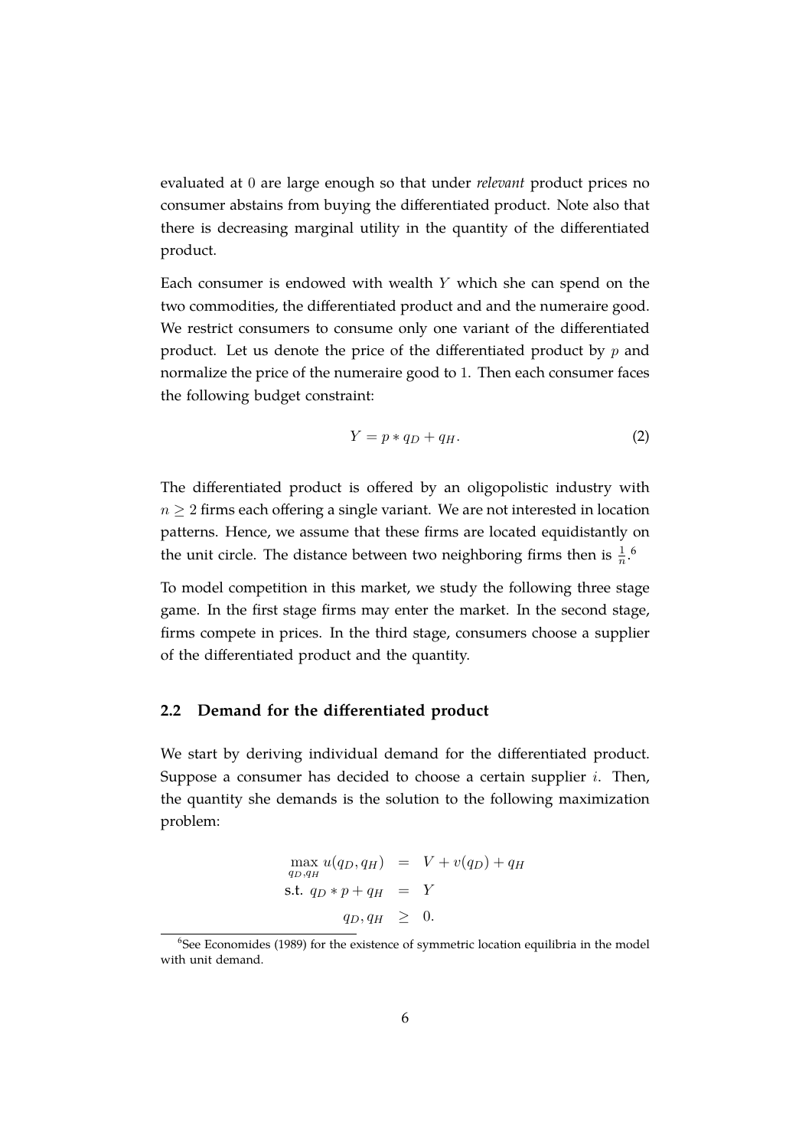evaluated at 0 are large enough so that under *relevant* product prices no consumer abstains from buying the differentiated product. Note also that there is decreasing marginal utility in the quantity of the differentiated product.

Each consumer is endowed with wealth  $Y$  which she can spend on the two commodities, the differentiated product and and the numeraire good. We restrict consumers to consume only one variant of the differentiated product. Let us denote the price of the differentiated product by  $p$  and normalize the price of the numeraire good to 1. Then each consumer faces the following budget constraint:

<span id="page-7-0"></span>
$$
Y = p * q_D + q_H. \t\t(2)
$$

The differentiated product is offered by an oligopolistic industry with  $n \geq 2$  firms each offering a single variant. We are not interested in location patterns. Hence, we assume that these firms are located equidistantly on the unit circle. The distance between two neighboring firms then is  $\frac{1}{n}$ .<sup>[6](#page-2-0)</sup>

To model competition in this market, we study the following three stage game. In the first stage firms may enter the market. In the second stage, firms compete in prices. In the third stage, consumers choose a supplier of the differentiated product and the quantity.

#### **2.2 Demand for the differentiated product**

We start by deriving individual demand for the differentiated product. Suppose a consumer has decided to choose a certain supplier  $i$ . Then, the quantity she demands is the solution to the following maximization problem:

$$
\max_{q_D, q_H} u(q_D, q_H) = V + v(q_D) + q_H
$$
  
s.t.  $q_D * p + q_H = Y$   
 $q_D, q_H \geq 0.$ 

<sup>&</sup>lt;sup>6</sup>See [Economides](#page-24-10) [\(1989\)](#page-24-10) for the existence of symmetric location equilibria in the model with unit demand.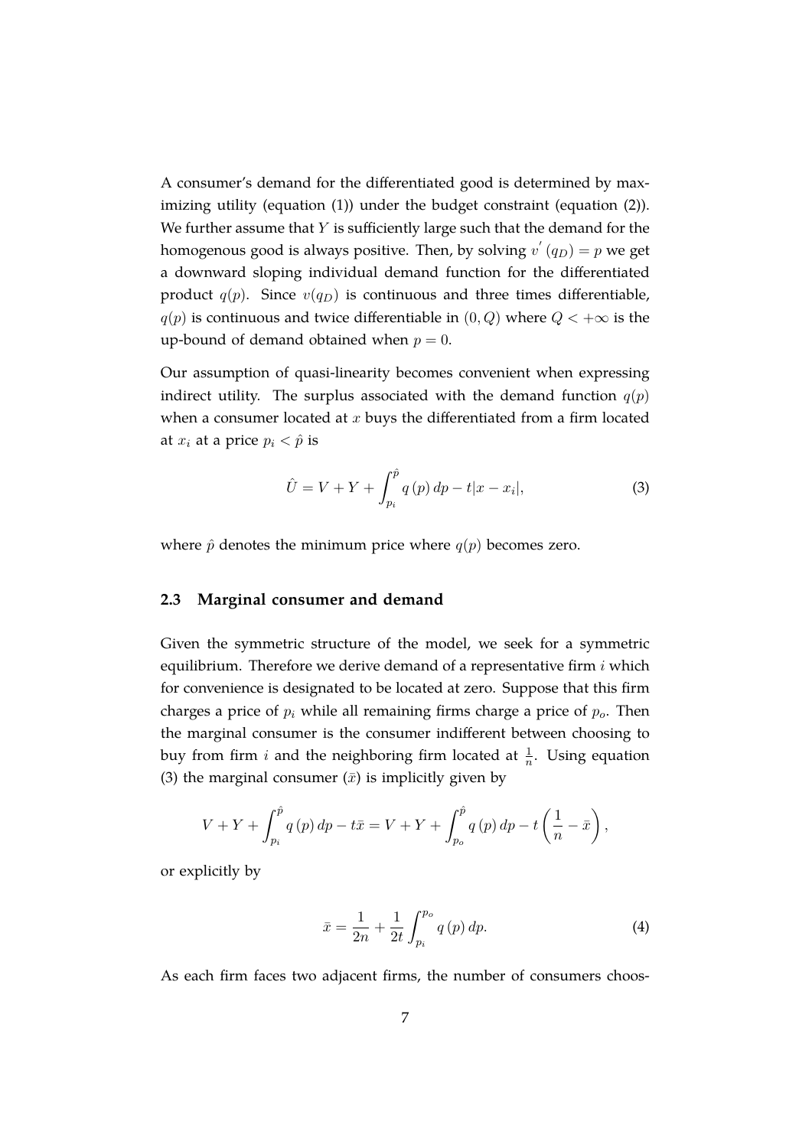A consumer's demand for the differentiated good is determined by maximizing utility (equation [\(1\)](#page-6-1)) under the budget constraint (equation [\(2\)](#page-7-0)). We further assume that  $Y$  is sufficiently large such that the demand for the homogenous good is always positive. Then, by solving  $v^{'}\left(q_{D}\right)=p$  we get a downward sloping individual demand function for the differentiated product  $q(p)$ . Since  $v(q_D)$  is continuous and three times differentiable,  $q(p)$  is continuous and twice differentiable in  $(0, Q)$  where  $Q < +\infty$  is the up-bound of demand obtained when  $p = 0$ .

Our assumption of quasi-linearity becomes convenient when expressing indirect utility. The surplus associated with the demand function  $q(p)$ when a consumer located at  $x$  buys the differentiated from a firm located at  $x_i$  at a price  $p_i < \hat{p}$  is

<span id="page-8-0"></span>
$$
\hat{U} = V + Y + \int_{p_i}^{\hat{p}} q(p) \, dp - t |x - x_i|,\tag{3}
$$

where  $\hat{p}$  denotes the minimum price where  $q(p)$  becomes zero.

#### **2.3 Marginal consumer and demand**

Given the symmetric structure of the model, we seek for a symmetric equilibrium. Therefore we derive demand of a representative firm  $i$  which for convenience is designated to be located at zero. Suppose that this firm charges a price of  $p_i$  while all remaining firms charge a price of  $p_o$ . Then the marginal consumer is the consumer indifferent between choosing to buy from firm i and the neighboring firm located at  $\frac{1}{n}$ . Using equation [\(3\)](#page-8-0) the marginal consumer  $(\bar{x})$  is implicitly given by

$$
V + Y + \int_{p_i}^{\hat{p}} q(p) dp - t\bar{x} = V + Y + \int_{p_o}^{\hat{p}} q(p) dp - t\left(\frac{1}{n} - \bar{x}\right),
$$

or explicitly by

$$
\bar{x} = \frac{1}{2n} + \frac{1}{2t} \int_{p_i}^{p_o} q(p) \, dp. \tag{4}
$$

As each firm faces two adjacent firms, the number of consumers choos-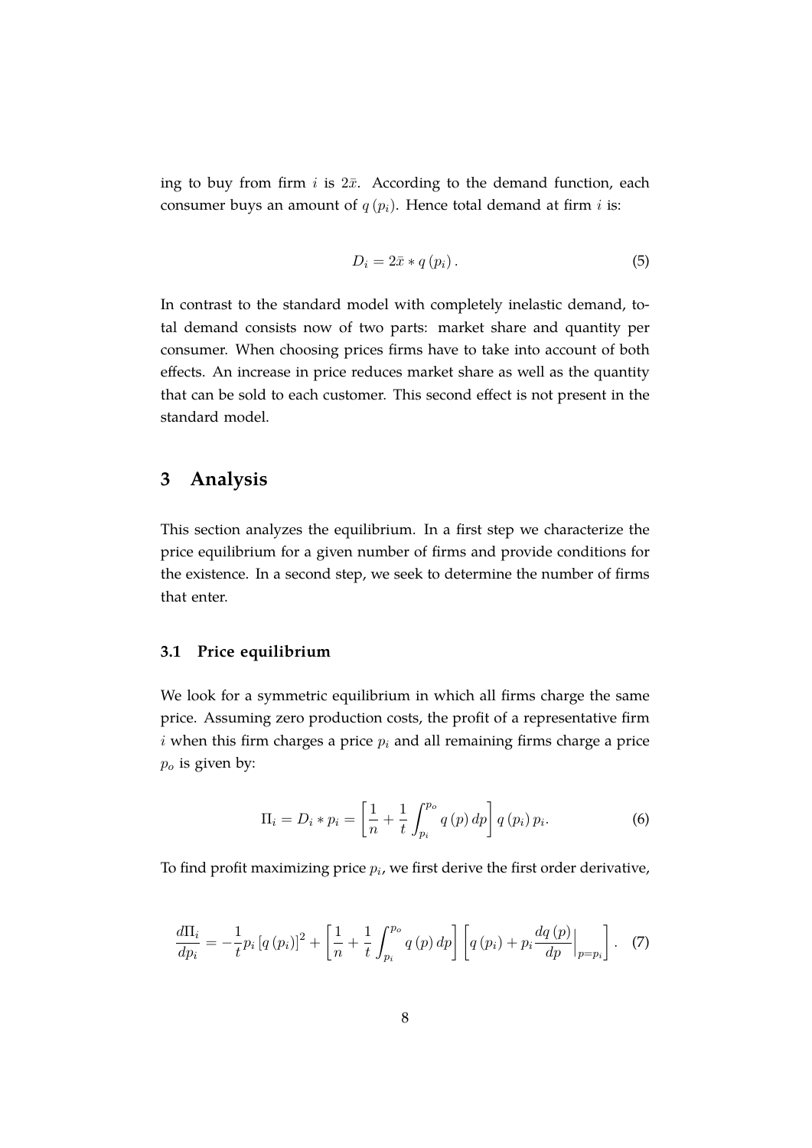ing to buy from firm  $i$  is  $2\bar{x}$ . According to the demand function, each consumer buys an amount of  $q(p_i)$ . Hence total demand at firm *i* is:

$$
D_i = 2\bar{x} * q(p_i). \tag{5}
$$

In contrast to the standard model with completely inelastic demand, total demand consists now of two parts: market share and quantity per consumer. When choosing prices firms have to take into account of both effects. An increase in price reduces market share as well as the quantity that can be sold to each customer. This second effect is not present in the standard model.

# <span id="page-9-0"></span>**3 Analysis**

This section analyzes the equilibrium. In a first step we characterize the price equilibrium for a given number of firms and provide conditions for the existence. In a second step, we seek to determine the number of firms that enter.

### **3.1 Price equilibrium**

We look for a symmetric equilibrium in which all firms charge the same price. Assuming zero production costs, the profit of a representative firm i when this firm charges a price  $p_i$  and all remaining firms charge a price  $p_o$  is given by:

<span id="page-9-2"></span>
$$
\Pi_{i} = D_{i} * p_{i} = \left[\frac{1}{n} + \frac{1}{t} \int_{p_{i}}^{p_{o}} q(p) dp\right] q(p_{i}) p_{i}.
$$
 (6)

To find profit maximizing price  $p_i$ , we first derive the first order derivative,

<span id="page-9-1"></span>
$$
\frac{d\Pi_i}{dp_i} = -\frac{1}{t} p_i \left[ q \left( p_i \right) \right]^2 + \left[ \frac{1}{n} + \frac{1}{t} \int_{p_i}^{p_o} q \left( p \right) dp \right] \left[ q \left( p_i \right) + p_i \frac{dq \left( p \right)}{dp} \Big|_{p=p_i} \right]. \tag{7}
$$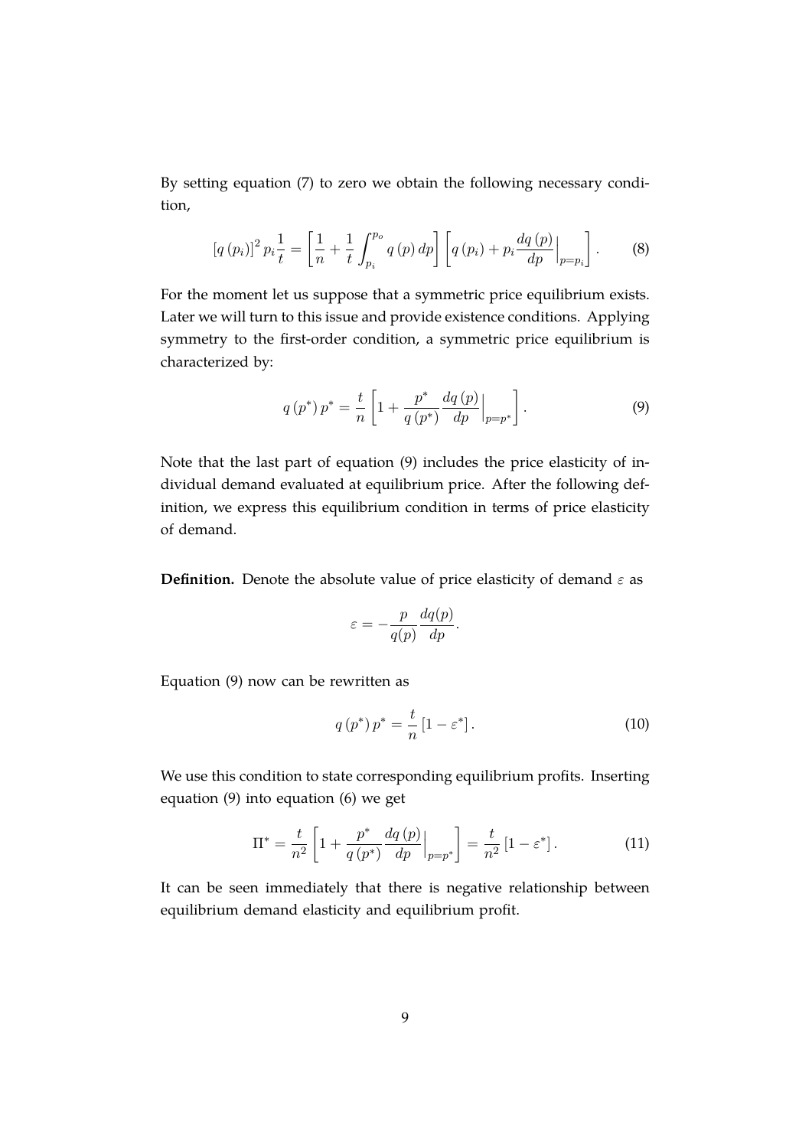By setting equation [\(7\)](#page-9-1) to zero we obtain the following necessary condition,

$$
[q(p_i)]^2 p_i \frac{1}{t} = \left[\frac{1}{n} + \frac{1}{t} \int_{p_i}^{p_o} q(p) \, dp\right] \left[q(p_i) + p_i \frac{dq(p)}{dp}\Big|_{p=p_i}\right].\tag{8}
$$

For the moment let us suppose that a symmetric price equilibrium exists. Later we will turn to this issue and provide existence conditions. Applying symmetry to the first-order condition, a symmetric price equilibrium is characterized by:

<span id="page-10-0"></span>
$$
q(p^*) p^* = \frac{t}{n} \left[ 1 + \frac{p^*}{q(p^*)} \frac{dq(p)}{dp} \Big|_{p=p^*} \right]. \tag{9}
$$

Note that the last part of equation [\(9\)](#page-10-0) includes the price elasticity of individual demand evaluated at equilibrium price. After the following definition, we express this equilibrium condition in terms of price elasticity of demand.

**Definition.** Denote the absolute value of price elasticity of demand  $\varepsilon$  as

$$
\varepsilon = -\frac{p}{q(p)} \frac{dq(p)}{dp}.
$$

Equation [\(9\)](#page-10-0) now can be rewritten as

<span id="page-10-1"></span>
$$
q\left(p^*\right)p^* = \frac{t}{n}\left[1 - \varepsilon^*\right].\tag{10}
$$

We use this condition to state corresponding equilibrium profits. Inserting equation [\(9\)](#page-10-0) into equation [\(6\)](#page-9-2) we get

<span id="page-10-2"></span>
$$
\Pi^* = \frac{t}{n^2} \left[ 1 + \frac{p^*}{q \left( p^* \right)} \frac{dq \left( p \right)}{dp} \Big|_{p=p^*} \right] = \frac{t}{n^2} \left[ 1 - \varepsilon^* \right]. \tag{11}
$$

It can be seen immediately that there is negative relationship between equilibrium demand elasticity and equilibrium profit.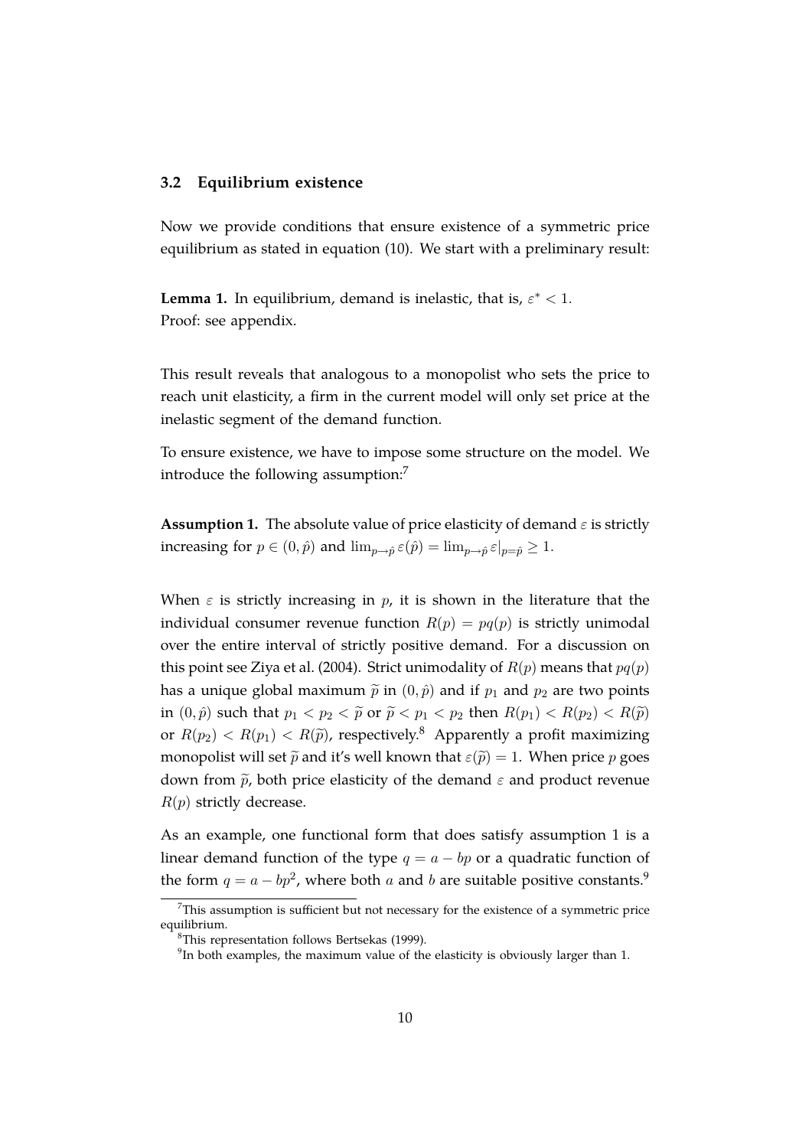#### **3.2 Equilibrium existence**

Now we provide conditions that ensure existence of a symmetric price equilibrium as stated in equation [\(10\)](#page-10-1). We start with a preliminary result:

<span id="page-11-1"></span>**Lemma 1.** In equilibrium, demand is inelastic, that is,  $\varepsilon^* < 1$ . Proof: see appendix.

This result reveals that analogous to a monopolist who sets the price to reach unit elasticity, a firm in the current model will only set price at the inelastic segment of the demand function.

To ensure existence, we have to impose some structure on the model. We introduce the following assumption:<sup>[7](#page-2-0)</sup>

<span id="page-11-0"></span>**Assumption 1.** The absolute value of price elasticity of demand  $\varepsilon$  is strictly increasing for  $p \in (0, \hat{p})$  and  $\lim_{p \to \hat{p}} \varepsilon(\hat{p}) = \lim_{p \to \hat{p}} \varepsilon|_{p=\hat{p}} \geq 1$ .

When  $\varepsilon$  is strictly increasing in p, it is shown in the literature that the individual consumer revenue function  $R(p) = pq(p)$  is strictly unimodal over the entire interval of strictly positive demand. For a discussion on this point see [Ziya et al.](#page-25-8) [\(2004\)](#page-25-8). Strict unimodality of  $R(p)$  means that  $pq(p)$ has a unique global maximum  $\tilde{p}$  in  $(0, \hat{p})$  and if  $p_1$  and  $p_2$  are two points in  $(0, \hat{p})$  such that  $p_1 < p_2 < \tilde{p}$  or  $\tilde{p} < p_1 < p_2$  then  $R(p_1) < R(p_2) < R(\tilde{p})$ or  $R(p_2) < R(p_1) < R(\tilde{p})$ , respectively.<sup>[8](#page-2-0)</sup> Apparently a profit maximizing monopolist will set  $\tilde{p}$  and it's well known that  $\varepsilon(\tilde{p}) = 1$ . When price p goes down from  $\tilde{p}$ , both price elasticity of the demand  $\varepsilon$  and product revenue  $R(p)$  strictly decrease.

As an example, one functional form that does satisfy assumption [1](#page-11-0) is a linear demand function of the type  $q = a - bp$  or a quadratic function of the form  $q = a - bp^2$ , where both a and b are suitable positive constants.<sup>[9](#page-2-0)</sup>

 $7$ This assumption is sufficient but not necessary for the existence of a symmetric price equilibrium.

<sup>8</sup>This representation follows [Bertsekas](#page-24-11) [\(1999\)](#page-24-11).

 $9$ In both examples, the maximum value of the elasticity is obviously larger than 1.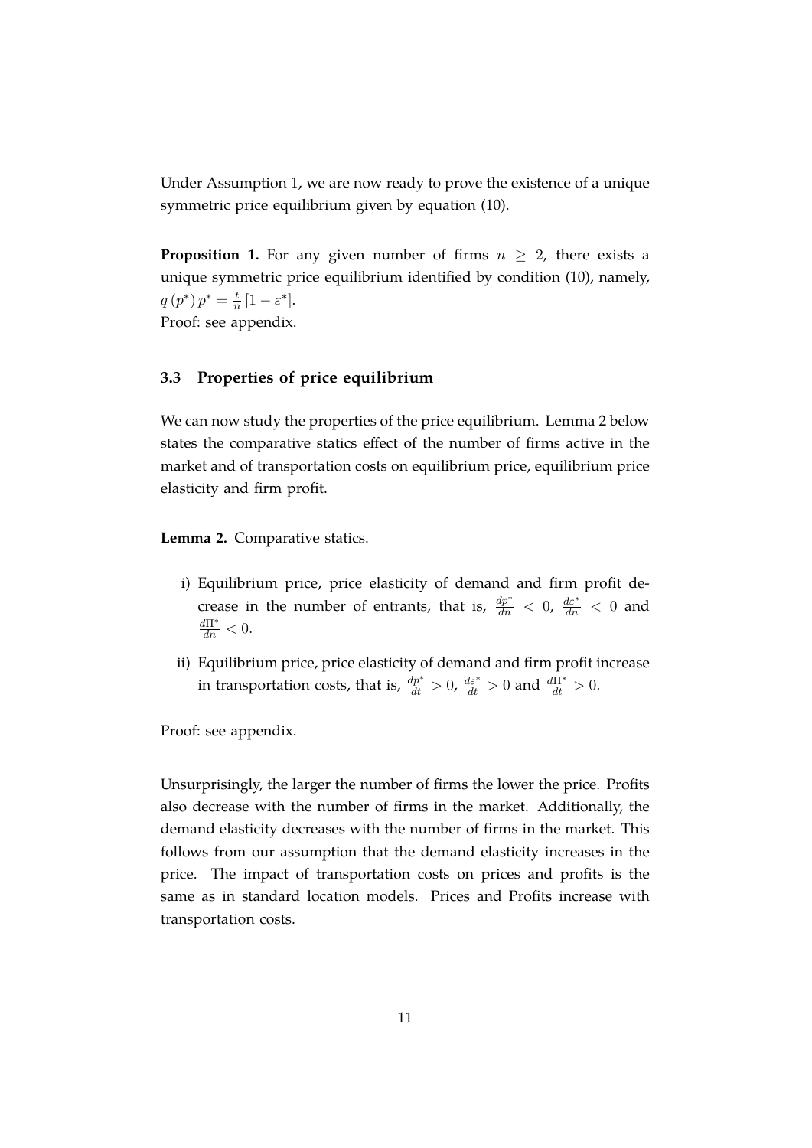Under Assumption 1, we are now ready to prove the existence of a unique symmetric price equilibrium given by equation [\(10\)](#page-10-1).

<span id="page-12-1"></span>**Proposition 1.** For any given number of firms  $n \geq 2$ , there exists a unique symmetric price equilibrium identified by condition [\(10\)](#page-10-1), namely,  $q(p^*) p^* = \frac{t}{n}$  $\frac{t}{n}[1-\varepsilon^*].$ Proof: see appendix.

### **3.3 Properties of price equilibrium**

We can now study the properties of the price equilibrium. Lemma [2](#page-12-0) below states the comparative statics effect of the number of firms active in the market and of transportation costs on equilibrium price, equilibrium price elasticity and firm profit.

<span id="page-12-0"></span>**Lemma 2.** Comparative statics.

- i) Equilibrium price, price elasticity of demand and firm profit decrease in the number of entrants, that is,  $\frac{dp^*}{dn} < 0$ ,  $\frac{d\varepsilon^*}{dn} < 0$  and  $\frac{d\Pi^*}{dn} < 0.$
- ii) Equilibrium price, price elasticity of demand and firm profit increase in transportation costs, that is,  $\frac{dp^*}{dt} > 0$ ,  $\frac{d\varepsilon^*}{dt} > 0$  and  $\frac{d\Pi^*}{dt} > 0$ .

Proof: see appendix.

Unsurprisingly, the larger the number of firms the lower the price. Profits also decrease with the number of firms in the market. Additionally, the demand elasticity decreases with the number of firms in the market. This follows from our assumption that the demand elasticity increases in the price. The impact of transportation costs on prices and profits is the same as in standard location models. Prices and Profits increase with transportation costs.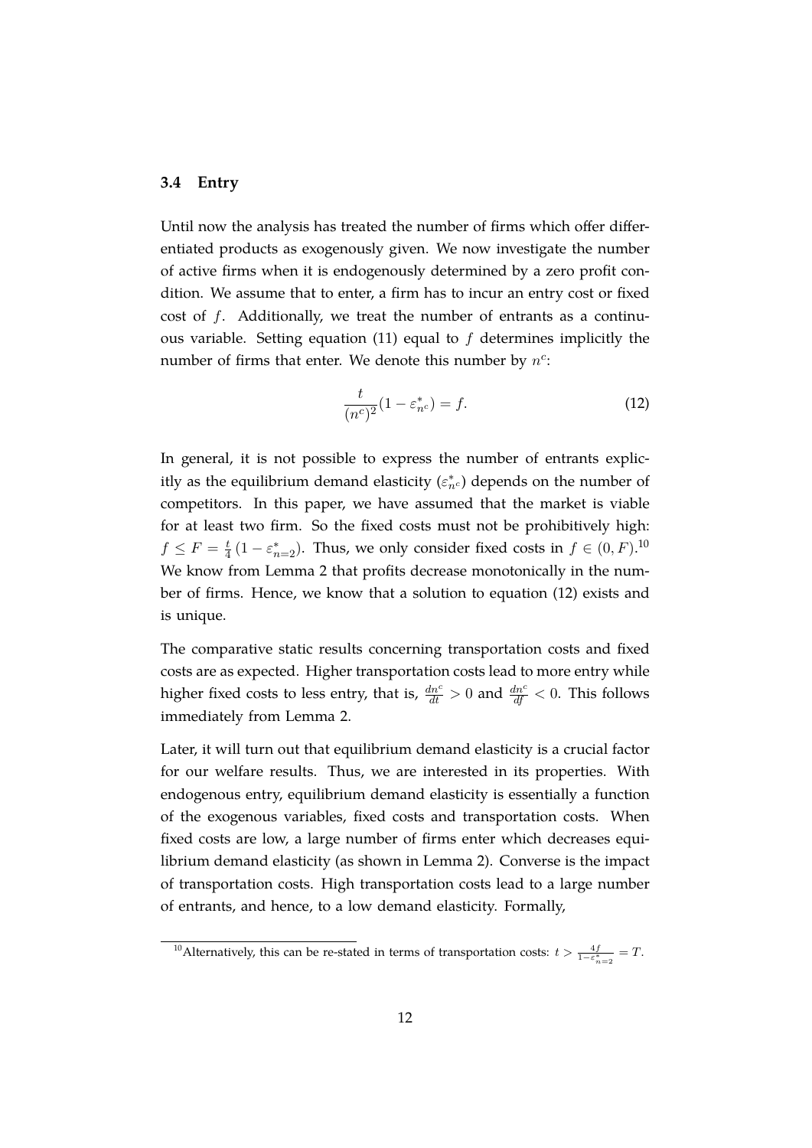#### **3.4 Entry**

Until now the analysis has treated the number of firms which offer differentiated products as exogenously given. We now investigate the number of active firms when it is endogenously determined by a zero profit condition. We assume that to enter, a firm has to incur an entry cost or fixed cost of f. Additionally, we treat the number of entrants as a continu-ous variable. Setting equation [\(11\)](#page-10-2) equal to  $f$  determines implicitly the number of firms that enter. We denote this number by  $n^c$ :

<span id="page-13-0"></span>
$$
\frac{t}{(n^c)^2}(1 - \varepsilon_{n^c}^*) = f.
$$
 (12)

In general, it is not possible to express the number of entrants explicitly as the equilibrium demand elasticity  $(\varepsilon_{n^c}^*)$  depends on the number of competitors. In this paper, we have assumed that the market is viable for at least two firm. So the fixed costs must not be prohibitively high:  $f\leq F=\frac{t}{4}$  $\frac{t}{4}$  (1 –  $\varepsilon_{n=2}^*$ ). Thus, we only consider fixed costs in  $f \in (0, F)$ .<sup>[10](#page-2-0)</sup> We know from Lemma [2](#page-12-0) that profits decrease monotonically in the number of firms. Hence, we know that a solution to equation [\(12\)](#page-13-0) exists and is unique.

The comparative static results concerning transportation costs and fixed costs are as expected. Higher transportation costs lead to more entry while higher fixed costs to less entry, that is,  $\frac{dn^c}{dt} > 0$  and  $\frac{dn^c}{df} < 0$ . This follows immediately from Lemma [2.](#page-12-0)

Later, it will turn out that equilibrium demand elasticity is a crucial factor for our welfare results. Thus, we are interested in its properties. With endogenous entry, equilibrium demand elasticity is essentially a function of the exogenous variables, fixed costs and transportation costs. When fixed costs are low, a large number of firms enter which decreases equilibrium demand elasticity (as shown in Lemma [2\)](#page-12-0). Converse is the impact of transportation costs. High transportation costs lead to a large number of entrants, and hence, to a low demand elasticity. Formally,

<sup>&</sup>lt;sup>10</sup> Alternatively, this can be re-stated in terms of transportation costs:  $t > \frac{4f}{1 - \varepsilon_{n=2}^{*}} = T$ .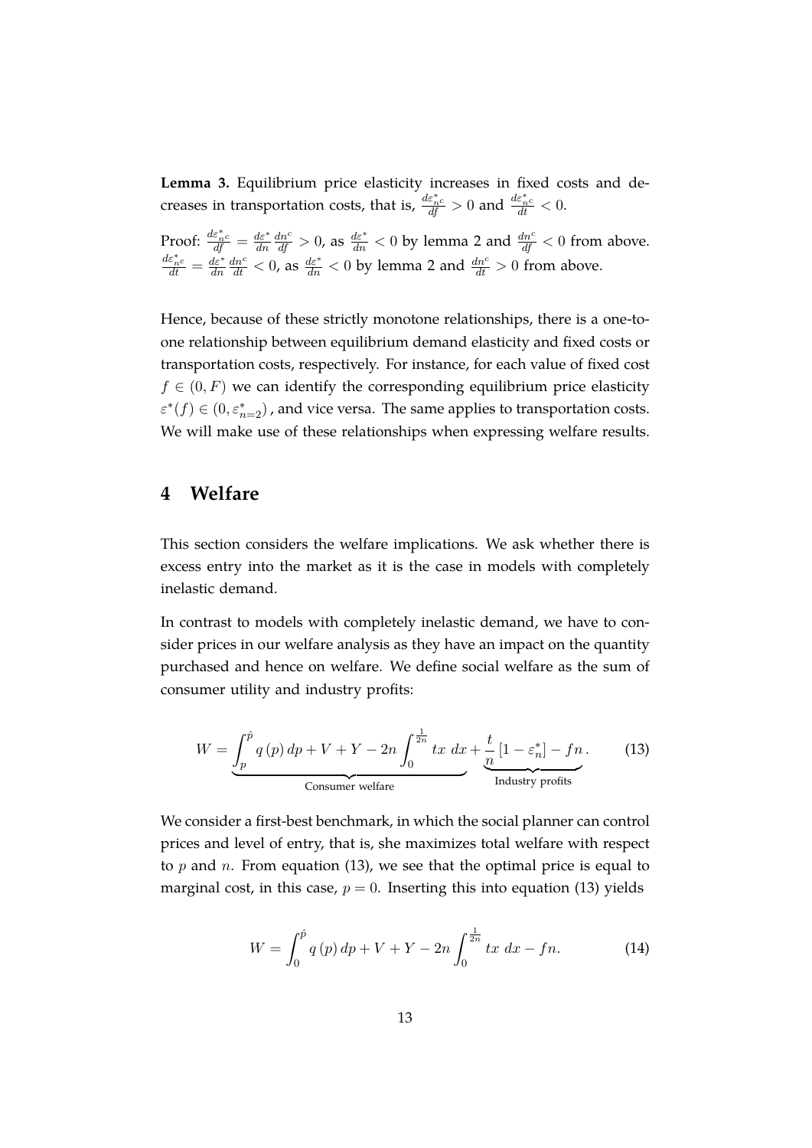<span id="page-14-2"></span>**Lemma 3.** Equilibrium price elasticity increases in fixed costs and decreases in transportation costs, that is,  $\frac{d\varepsilon_{n}^{*}c}{dt} > 0$  and  $\frac{d\varepsilon_{n}^{*}c}{dt} < 0$ .

Proof:  $\frac{d\varepsilon^*_{n^c}}{df} = \frac{d\varepsilon^*}{dn}$ dn  $\frac{dn^c}{df} > 0$ , as  $\frac{d\varepsilon^*}{dn} < 0$  by lemma [2](#page-12-0) and  $\frac{dn^c}{df} < 0$  from above.  $\frac{d\varepsilon_{n^c}^*}{dt}=\frac{d\varepsilon^*}{dn}$ dn  $\frac{dn^c}{dt}$  < 0, as  $\frac{d\varepsilon^*}{dt}$  < 0 by lemma [2](#page-12-0) and  $\frac{dn^c}{dt}$  > 0 from above.

Hence, because of these strictly monotone relationships, there is a one-toone relationship between equilibrium demand elasticity and fixed costs or transportation costs, respectively. For instance, for each value of fixed cost  $f \in (0, F)$  we can identify the corresponding equilibrium price elasticity  $\varepsilon^*(f) \in (0, \varepsilon_{n=2}^*)$ , and vice versa. The same applies to transportation costs. We will make use of these relationships when expressing welfare results.

# <span id="page-14-0"></span>**4 Welfare**

This section considers the welfare implications. We ask whether there is excess entry into the market as it is the case in models with completely inelastic demand.

In contrast to models with completely inelastic demand, we have to consider prices in our welfare analysis as they have an impact on the quantity purchased and hence on welfare. We define social welfare as the sum of consumer utility and industry profits:

<span id="page-14-1"></span>
$$
W = \underbrace{\int_{p}^{\hat{p}} q(p) dp + V + Y - 2n \int_{0}^{\frac{1}{2n}} tx \, dx}_{\text{Consumer welfare}} + \underbrace{\frac{t}{n} [1 - \varepsilon_{n}^{*}] - fn}_{\text{Industry profits}}.
$$
 (13)

We consider a first-best benchmark, in which the social planner can control prices and level of entry, that is, she maximizes total welfare with respect to  $p$  and  $n$ . From equation [\(13\)](#page-14-1), we see that the optimal price is equal to marginal cost, in this case,  $p = 0$ . Inserting this into equation [\(13\)](#page-14-1) yields

$$
W = \int_0^{\hat{p}} q(p) \, dp + V + Y - 2n \int_0^{\frac{1}{2n}} tx \, dx - fn. \tag{14}
$$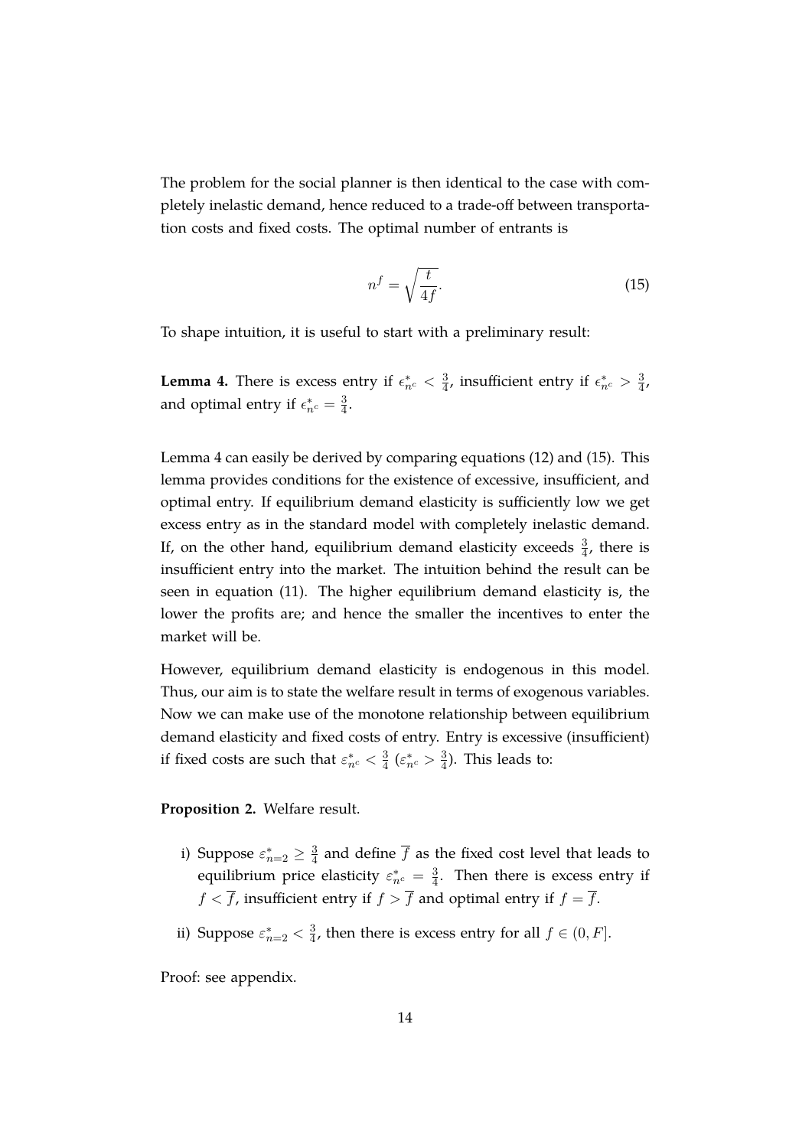The problem for the social planner is then identical to the case with completely inelastic demand, hence reduced to a trade-off between transportation costs and fixed costs. The optimal number of entrants is

<span id="page-15-1"></span>
$$
n^f = \sqrt{\frac{t}{4f}}.\tag{15}
$$

To shape intuition, it is useful to start with a preliminary result:

<span id="page-15-0"></span>**Lemma 4.** There is excess entry if  $\epsilon_{n_c}^* < \frac{3}{4}$  $\frac{3}{4}$ , insufficient entry if  $\epsilon_{n^c}^* > \frac{3}{4}$  $\frac{3}{4}$ , and optimal entry if  $\epsilon_{n^c}^* = \frac{3}{4}$  $\frac{3}{4}$ .

Lemma [4](#page-15-0) can easily be derived by comparing equations [\(12\)](#page-13-0) and [\(15\)](#page-15-1). This lemma provides conditions for the existence of excessive, insufficient, and optimal entry. If equilibrium demand elasticity is sufficiently low we get excess entry as in the standard model with completely inelastic demand. If, on the other hand, equilibrium demand elasticity exceeds  $\frac{3}{4}$ , there is insufficient entry into the market. The intuition behind the result can be seen in equation [\(11\)](#page-10-2). The higher equilibrium demand elasticity is, the lower the profits are; and hence the smaller the incentives to enter the market will be.

However, equilibrium demand elasticity is endogenous in this model. Thus, our aim is to state the welfare result in terms of exogenous variables. Now we can make use of the monotone relationship between equilibrium demand elasticity and fixed costs of entry. Entry is excessive (insufficient) if fixed costs are such that  $\varepsilon_{n^c}^* < \frac{3}{4}$  $rac{3}{4}$  ( $\varepsilon_{n^c}^* > \frac{3}{4}$  $\frac{3}{4}$ ). This leads to:

<span id="page-15-2"></span>**Proposition 2.** Welfare result.

- i) Suppose  $\varepsilon_{n=2}^* \geq \frac{3}{4}$  $\frac{3}{4}$  and define f as the fixed cost level that leads to equilibrium price elasticity  $\varepsilon_{n^c}^* = \frac{3}{4}$  $\frac{3}{4}$ . Then there is excess entry if  $f < \overline{f}$ , insufficient entry if  $f > \overline{f}$  and optimal entry if  $f = \overline{f}$ .
- ii) Suppose  $\varepsilon_{n=2}^* < \frac{3}{4}$  $\frac{3}{4}$ , then there is excess entry for all  $f \in (0, F]$ .

Proof: see appendix.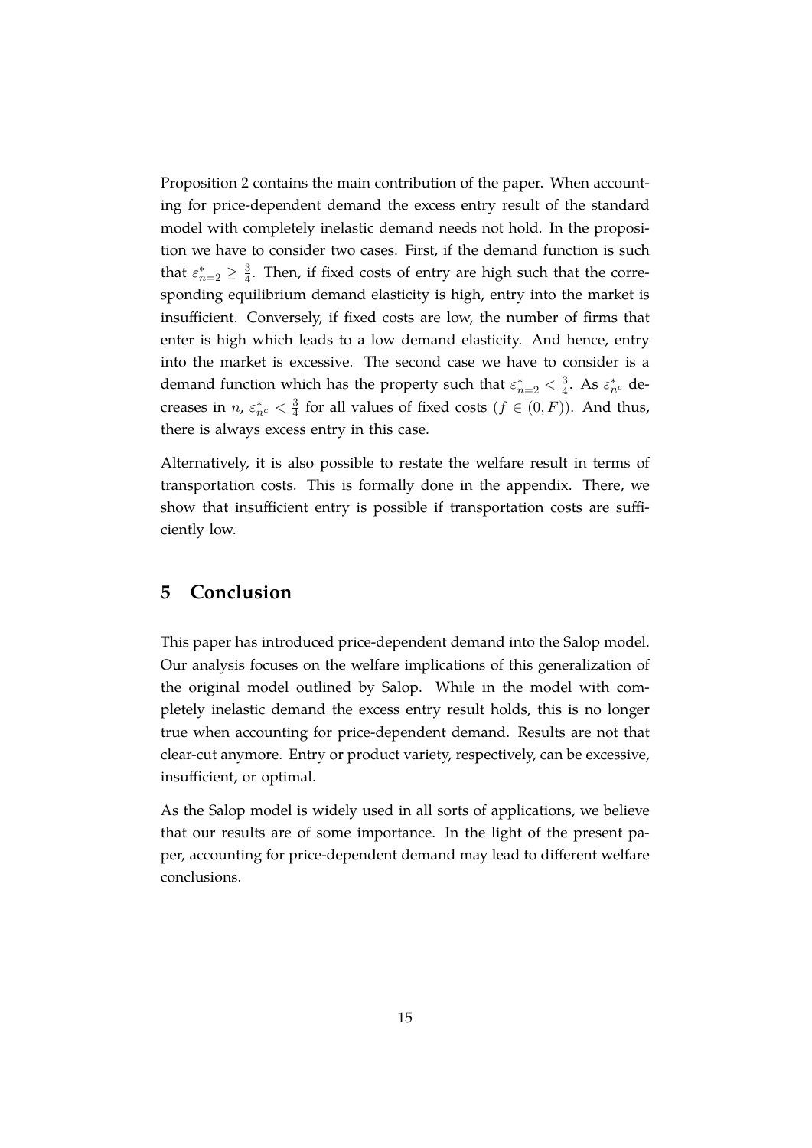Proposition [2](#page-15-2) contains the main contribution of the paper. When accounting for price-dependent demand the excess entry result of the standard model with completely inelastic demand needs not hold. In the proposition we have to consider two cases. First, if the demand function is such that  $\varepsilon_{n=2}^* \geq \frac{3}{4}$  $\frac{3}{4}$ . Then, if fixed costs of entry are high such that the corresponding equilibrium demand elasticity is high, entry into the market is insufficient. Conversely, if fixed costs are low, the number of firms that enter is high which leads to a low demand elasticity. And hence, entry into the market is excessive. The second case we have to consider is a demand function which has the property such that  $\varepsilon_{n=2}^* < \frac{3}{4}$  $\frac{3}{4}$ . As  $\varepsilon_{n^c}^*$  decreases in  $n$ ,  $\varepsilon_{n^c}^* < \frac{3}{4}$  $\frac{3}{4}$  for all values of fixed costs  $(f \in (0, F))$ . And thus, there is always excess entry in this case.

Alternatively, it is also possible to restate the welfare result in terms of transportation costs. This is formally done in the appendix. There, we show that insufficient entry is possible if transportation costs are sufficiently low.

# <span id="page-16-0"></span>**5 Conclusion**

This paper has introduced price-dependent demand into the Salop model. Our analysis focuses on the welfare implications of this generalization of the original model outlined by Salop. While in the model with completely inelastic demand the excess entry result holds, this is no longer true when accounting for price-dependent demand. Results are not that clear-cut anymore. Entry or product variety, respectively, can be excessive, insufficient, or optimal.

As the Salop model is widely used in all sorts of applications, we believe that our results are of some importance. In the light of the present paper, accounting for price-dependent demand may lead to different welfare conclusions.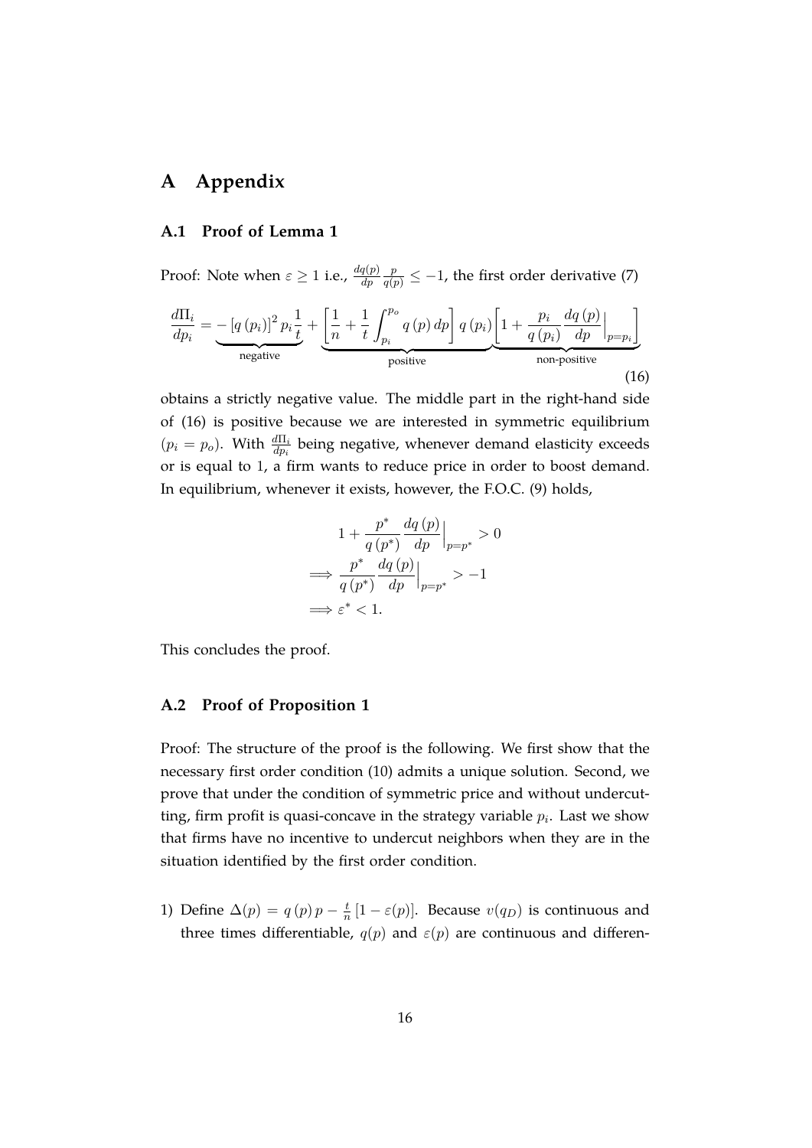# **A Appendix**

### **A.1 Proof of Lemma [1](#page-11-1)**

Proof: Note when  $\varepsilon \geq 1$  i.e.,  $\frac{dq(p)}{dp}$  $\frac{p}{q(p)} \leq -1$ , the first order derivative [\(7\)](#page-9-1)

<span id="page-17-0"></span>
$$
\frac{d\Pi_i}{dp_i} = -\left[q\left(p_i\right)\right]^2 p_i \frac{1}{t} + \underbrace{\left[\frac{1}{n} + \frac{1}{t} \int_{p_i}^{p_o} q\left(p\right) dp\right] q\left(p_i\right) \left[1 + \frac{p_i}{q\left(p_i\right)} \frac{dq\left(p\right)}{dp}\Big|_{p=p_i}\right]}_{\text{positive}}
$$
\n(16)

obtains a strictly negative value. The middle part in the right-hand side of [\(16\)](#page-17-0) is positive because we are interested in symmetric equilibrium  $(p_i = p_o)$ . With  $\frac{d\Pi_i}{dp_i}$  being negative, whenever demand elasticity exceeds or is equal to 1, a firm wants to reduce price in order to boost demand. In equilibrium, whenever it exists, however, the F.O.C. [\(9\)](#page-10-0) holds,

$$
1 + \frac{p^*}{q(p^*)} \frac{dq(p)}{dp} \Big|_{p=p^*} > 0
$$
  
\n
$$
\implies \frac{p^*}{q(p^*)} \frac{dq(p)}{dp} \Big|_{p=p^*} > -1
$$
  
\n
$$
\implies \varepsilon^* < 1.
$$

This concludes the proof.

#### **A.2 Proof of Proposition [1](#page-12-1)**

Proof: The structure of the proof is the following. We first show that the necessary first order condition [\(10\)](#page-10-1) admits a unique solution. Second, we prove that under the condition of symmetric price and without undercutting, firm profit is quasi-concave in the strategy variable  $p_i$ . Last we show that firms have no incentive to undercut neighbors when they are in the situation identified by the first order condition.

1) Define  $\Delta(p) = q(p)p - \frac{t}{n}$  $\frac{t}{n}[1-\varepsilon(p)]$ . Because  $v(q_D)$  is continuous and three times differentiable,  $q(p)$  and  $\varepsilon(p)$  are continuous and differen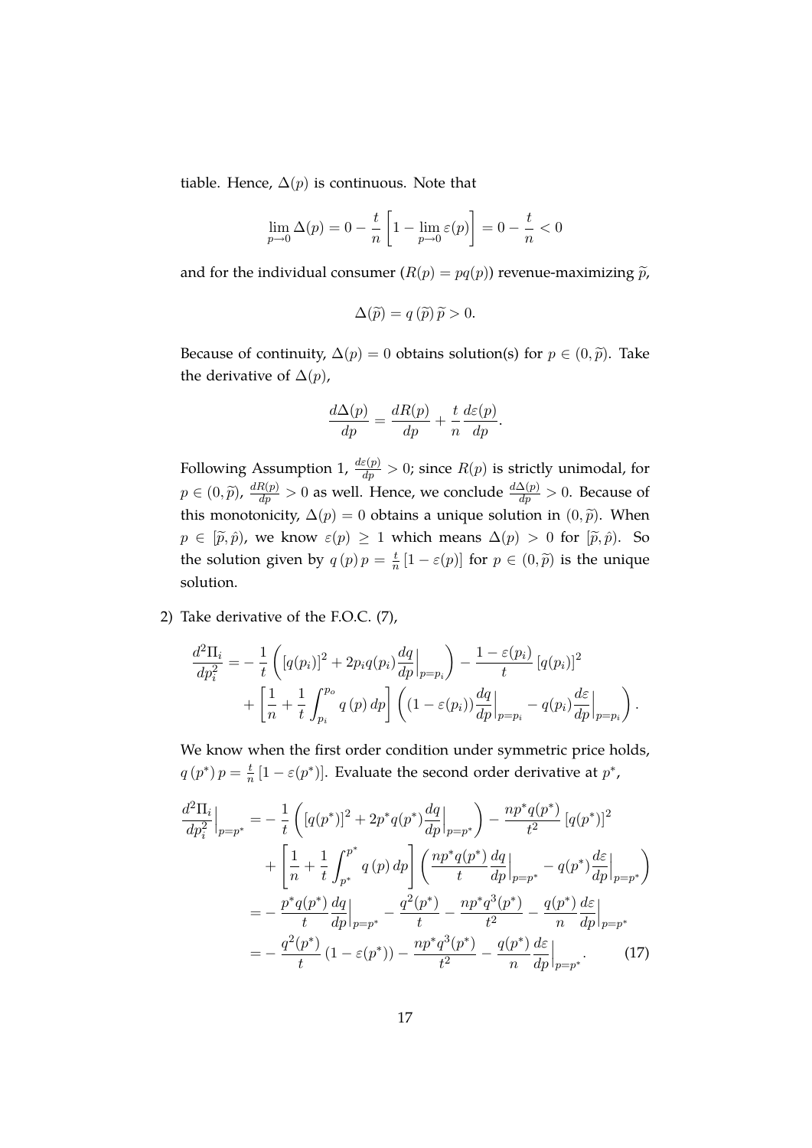tiable. Hence,  $\Delta(p)$  is continuous. Note that

$$
\lim_{p \to 0} \Delta(p) = 0 - \frac{t}{n} \left[ 1 - \lim_{p \to 0} \varepsilon(p) \right] = 0 - \frac{t}{n} < 0
$$

and for the individual consumer  $(R(p) = pq(p))$  revenue-maximizing  $\tilde{p}$ ,

$$
\Delta(\widetilde{p}) = q(\widetilde{p})\widetilde{p} > 0.
$$

Because of continuity,  $\Delta(p) = 0$  obtains solution(s) for  $p \in (0, \tilde{p})$ . Take the derivative of  $\Delta(p)$ ,

$$
\frac{d\Delta(p)}{dp} = \frac{dR(p)}{dp} + \frac{t}{n}\frac{d\varepsilon(p)}{dp}.
$$

Following Assumption [1,](#page-11-0)  $\frac{d\varepsilon(p)}{dp} > 0$ ; since  $R(p)$  is strictly unimodal, for  $p \in (0, \tilde{p})$ ,  $\frac{dR(p)}{dp} > 0$  as well. Hence, we conclude  $\frac{d\Delta(p)}{dp} > 0$ . Because of this monotonicity,  $\Delta(p) = 0$  obtains a unique solution in  $(0, \tilde{p})$ . When  $p \in [\tilde{p}, \hat{p})$ , we know  $\varepsilon(p) \ge 1$  which means  $\Delta(p) > 0$  for  $[\tilde{p}, \hat{p})$ . So the solution given by  $q(p)p = \frac{t}{n}$  $\frac{t}{n}[1-\varepsilon(p)]$  for  $p \in (0,\widetilde{p})$  is the unique solution.

2) Take derivative of the F.O.C. [\(7\)](#page-9-1),

$$
\frac{d^2\Pi_i}{dp_i^2} = -\frac{1}{t} \left( \left[ q(p_i) \right]^2 + 2p_i q(p_i) \frac{dq}{dp} \Big|_{p=p_i} \right) - \frac{1 - \varepsilon(p_i)}{t} \left[ q(p_i) \right]^2 \n+ \left[ \frac{1}{n} + \frac{1}{t} \int_{p_i}^{p_o} q(p) dp \right] \left( (1 - \varepsilon(p_i)) \frac{dq}{dp} \Big|_{p=p_i} - q(p_i) \frac{d\varepsilon}{dp} \Big|_{p=p_i} \right).
$$

We know when the first order condition under symmetric price holds,  $q(p^*) p = \frac{t}{n}$  $\frac{t}{n}[1-\varepsilon(p^*)]$ . Evaluate the second order derivative at  $p^*$ ,

<span id="page-18-0"></span>
$$
\frac{d^2\Pi_i}{dp_i^2}\Big|_{p=p^*} = -\frac{1}{t} \left( [q(p^*)]^2 + 2p^*q(p^*)\frac{dq}{dp} \Big|_{p=p^*} \right) - \frac{np^*q(p^*)}{t^2} [q(p^*)]^2
$$

$$
+ \left[ \frac{1}{n} + \frac{1}{t} \int_{p^*}^{p^*} q(p) dp \right] \left( \frac{np^*q(p^*)}{t} \frac{dq}{dp} \Big|_{p=p^*} - q(p^*)\frac{d\varepsilon}{dp} \Big|_{p=p^*} \right)
$$

$$
= -\frac{p^*q(p^*)}{t} \frac{dq}{dp} \Big|_{p=p^*} - \frac{q^2(p^*)}{t} - \frac{np^*q^3(p^*)}{t^2} - \frac{q(p^*)}{n} \frac{dq}{dp} \Big|_{p=p^*}
$$

$$
= -\frac{q^2(p^*)}{t} (1 - \varepsilon(p^*)) - \frac{np^*q^3(p^*)}{t^2} - \frac{q(p^*)}{n} \frac{d\varepsilon}{dp} \Big|_{p=p^*}. \tag{17}
$$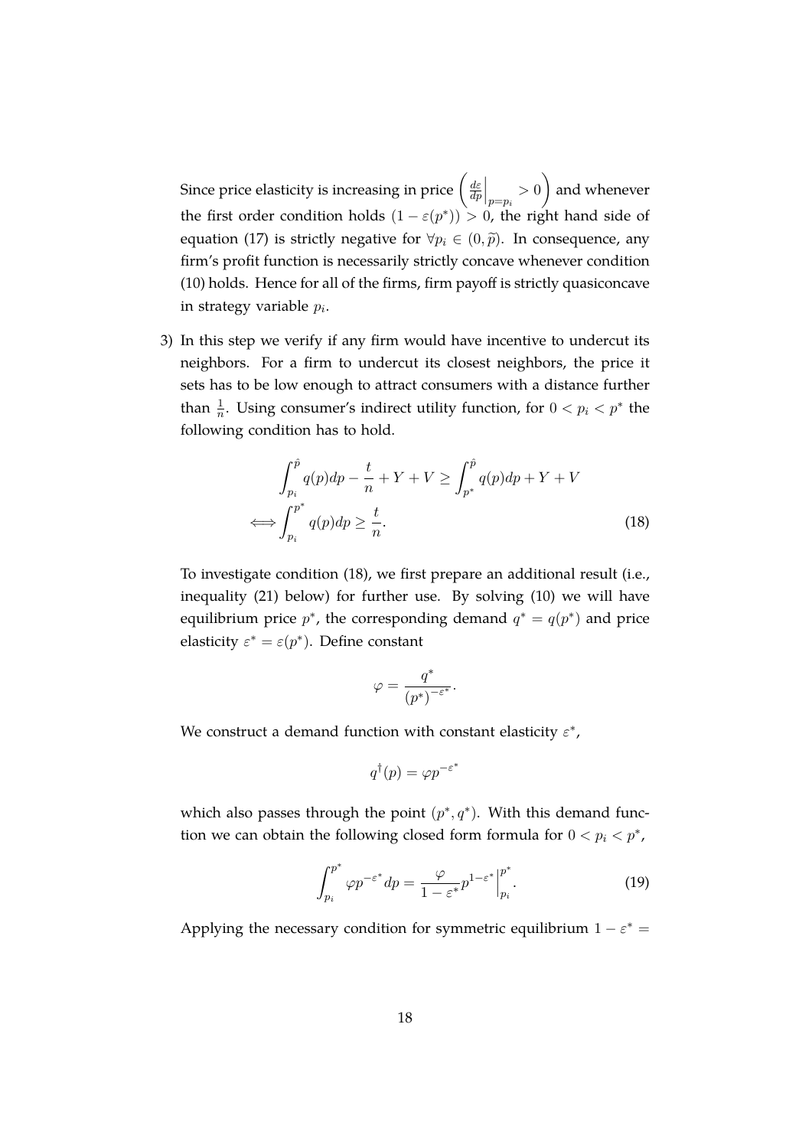Since price elasticity is increasing in price  $\left(\frac{d\varepsilon}{dt}\right)$  $\frac{d\varepsilon}{dp}\Big|_{p=p_i}>0\bigg)$ and whenever the first order condition holds  $(1 - \varepsilon(p^*)) > 0$ , the right hand side of equation [\(17\)](#page-18-0) is strictly negative for  $\forall p_i \in (0, \tilde{p})$ . In consequence, any firm's profit function is necessarily strictly concave whenever condition [\(10\)](#page-10-1) holds. Hence for all of the firms, firm payoff is strictly quasiconcave in strategy variable  $p_i$ .

3) In this step we verify if any firm would have incentive to undercut its neighbors. For a firm to undercut its closest neighbors, the price it sets has to be low enough to attract consumers with a distance further than  $\frac{1}{n}$ . Using consumer's indirect utility function, for  $0 < p_i < p^*$  the following condition has to hold.

$$
\int_{p_i}^{\hat{p}} q(p) dp - \frac{t}{n} + Y + V \ge \int_{p^*}^{\hat{p}} q(p) dp + Y + V
$$
  

$$
\iff \int_{p_i}^{p^*} q(p) dp \ge \frac{t}{n}.
$$
 (18)

To investigate condition [\(18\)](#page-19-0), we first prepare an additional result (i.e., inequality [\(21\)](#page-20-0) below) for further use. By solving [\(10\)](#page-10-1) we will have equilibrium price  $p^*$ , the corresponding demand  $q^* = q(p^*)$  and price elasticity  $\varepsilon^* = \varepsilon(p^*)$ . Define constant

<span id="page-19-0"></span>
$$
\varphi = \frac{q^*}{(p^*)^{-\varepsilon^*}}.
$$

We construct a demand function with constant elasticity  $\varepsilon^*$ ,

$$
q^{\dagger}(p) = \varphi p^{-\varepsilon^*}
$$

which also passes through the point  $(p^*,q^*)$ . With this demand function we can obtain the following closed form formula for  $0 < p_i < p^*$ ,

<span id="page-19-1"></span>
$$
\int_{p_i}^{p^*} \varphi p^{-\varepsilon^*} dp = \frac{\varphi}{1 - \varepsilon^*} p^{1 - \varepsilon^*} \Big|_{p_i}^{p^*}.
$$
 (19)

Applying the necessary condition for symmetric equilibrium  $1 - \varepsilon^* =$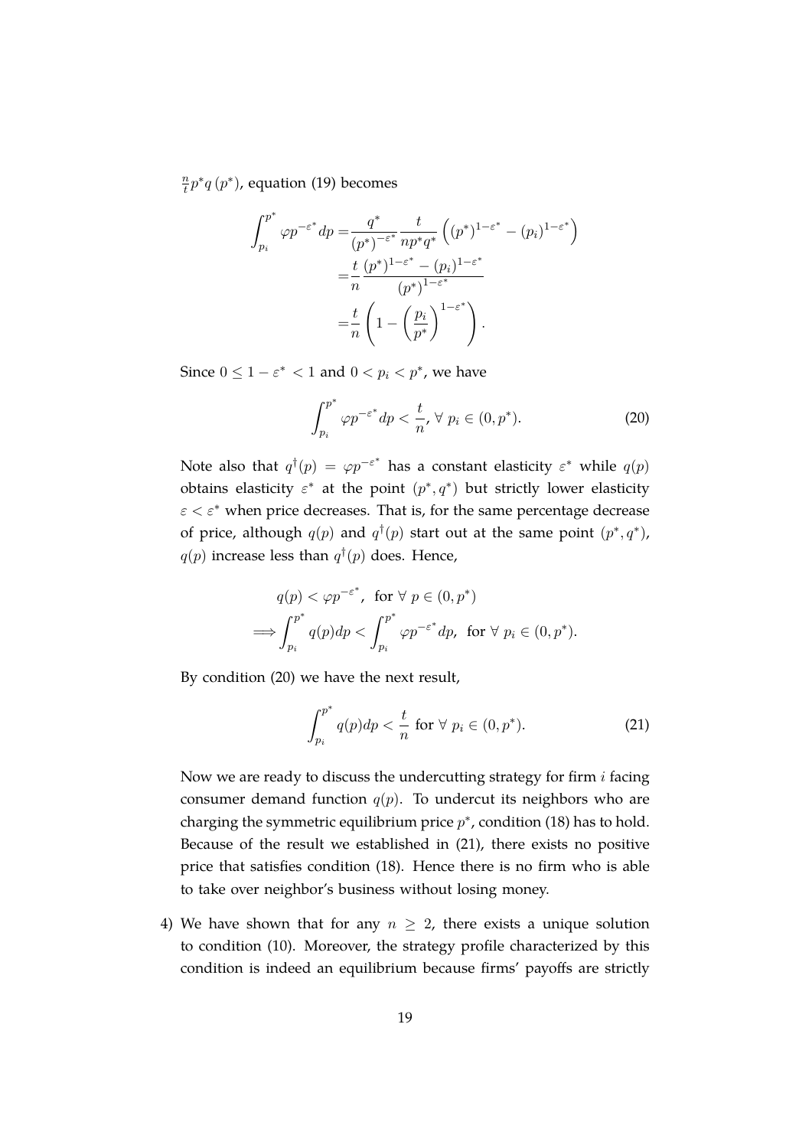$\overline{n}$  $\frac{n}{t}p^*q(p^*)$ , equation [\(19\)](#page-19-1) becomes

$$
\int_{p_i}^{p^*} \varphi p^{-\varepsilon^*} dp = \frac{q^*}{(p^*)^{-\varepsilon^*}} \frac{t}{np^*q^*} \left( (p^*)^{1-\varepsilon^*} - (p_i)^{1-\varepsilon^*} \right)
$$

$$
= \frac{t}{n} \frac{(p^*)^{1-\varepsilon^*} - (p_i)^{1-\varepsilon^*}}{(p^*)^{1-\varepsilon^*}}
$$

$$
= \frac{t}{n} \left( 1 - \left( \frac{p_i}{p^*} \right)^{1-\varepsilon^*} \right).
$$

Since  $0 \leq 1 - \varepsilon^* < 1$  and  $0 < p_i < p^*$ , we have

<span id="page-20-1"></span>
$$
\int_{p_i}^{p^*} \varphi p^{-\varepsilon^*} dp < \frac{t}{n}, \forall \ p_i \in (0, p^*). \tag{20}
$$

Note also that  $q^{\dagger}(p) = \varphi p^{-\varepsilon^*}$  has a constant elasticity  $\varepsilon^*$  while  $q(p)$ obtains elasticity  $\varepsilon^*$  at the point  $(p^*, q^*)$  but strictly lower elasticity  $\epsilon < \epsilon^*$  when price decreases. That is, for the same percentage decrease of price, although  $q(p)$  and  $q^{\dagger}(p)$  start out at the same point  $(p^*,q^*)$ ,  $q(p)$  increase less than  $q^{\dagger}(p)$  does. Hence,

$$
q(p) < \varphi p^{-\varepsilon^*}, \text{ for } \forall p \in (0, p^*)
$$
  
\n
$$
\implies \int_{p_i}^{p^*} q(p) dp < \int_{p_i}^{p^*} \varphi p^{-\varepsilon^*} dp, \text{ for } \forall p_i \in (0, p^*).
$$

By condition [\(20\)](#page-20-1) we have the next result,

<span id="page-20-0"></span>
$$
\int_{p_i}^{p^*} q(p) dp < \frac{t}{n} \text{ for } \forall \ p_i \in (0, p^*). \tag{21}
$$

Now we are ready to discuss the undercutting strategy for firm  $i$  facing consumer demand function  $q(p)$ . To undercut its neighbors who are charging the symmetric equilibrium price  $p^*$ , condition [\(18\)](#page-19-0) has to hold. Because of the result we established in [\(21\)](#page-20-0), there exists no positive price that satisfies condition [\(18\)](#page-19-0). Hence there is no firm who is able to take over neighbor's business without losing money.

4) We have shown that for any  $n \geq 2$ , there exists a unique solution to condition [\(10\)](#page-10-1). Moreover, the strategy profile characterized by this condition is indeed an equilibrium because firms' payoffs are strictly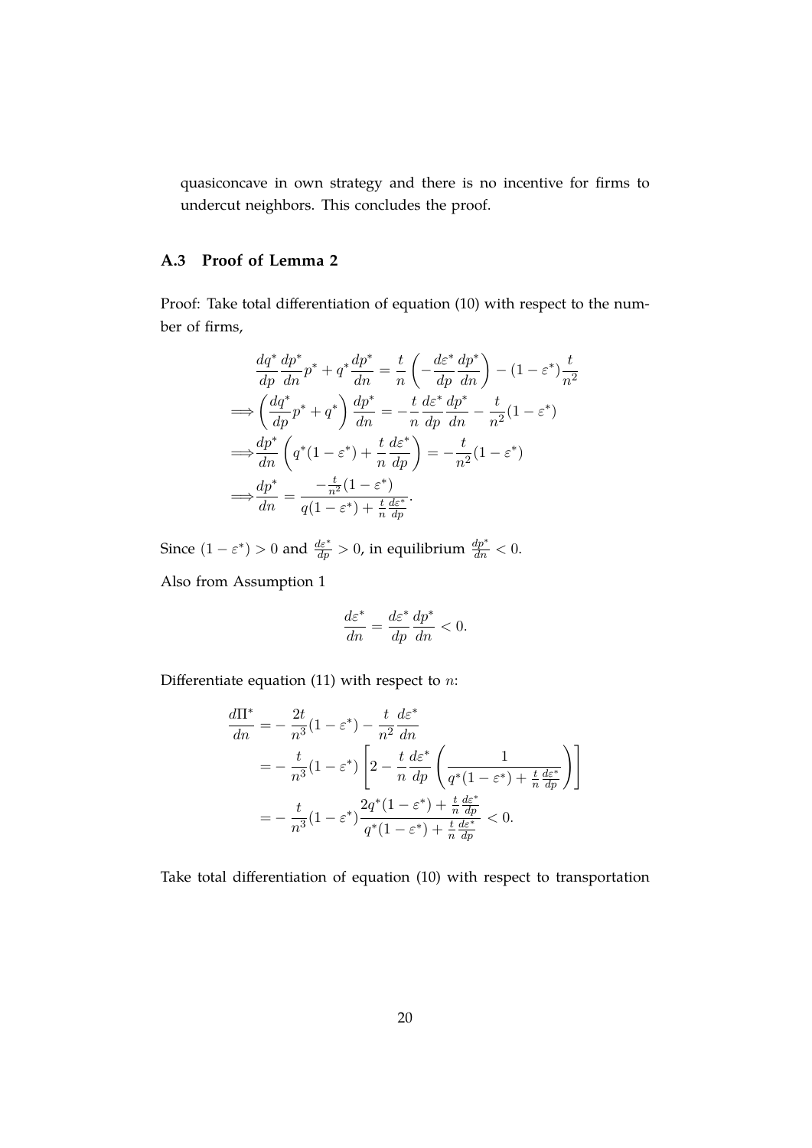quasiconcave in own strategy and there is no incentive for firms to undercut neighbors. This concludes the proof.

### **A.3 Proof of Lemma [2](#page-12-0)**

Proof: Take total differentiation of equation [\(10\)](#page-10-1) with respect to the number of firms,

$$
\frac{dq^*}{dp}\frac{dp^*}{dn}p^* + q^*\frac{dp^*}{dn} = \frac{t}{n}\left(-\frac{d\varepsilon^*}{dp}\frac{dp^*}{dn}\right) - (1 - \varepsilon^*)\frac{t}{n^2}
$$
\n
$$
\implies \left(\frac{dq^*}{dp}p^* + q^*\right)\frac{dp^*}{dn} = -\frac{t}{n}\frac{d\varepsilon^*}{dp}\frac{dp^*}{dn} - \frac{t}{n^2}(1 - \varepsilon^*)
$$
\n
$$
\implies \frac{dp^*}{dn}\left(q^*(1 - \varepsilon^*) + \frac{t}{n}\frac{d\varepsilon^*}{dp}\right) = -\frac{t}{n^2}(1 - \varepsilon^*)
$$
\n
$$
\implies \frac{dp^*}{dn} = \frac{-\frac{t}{n^2}(1 - \varepsilon^*)}{q(1 - \varepsilon^*) + \frac{t}{n}\frac{d\varepsilon^*}{dp}}.
$$

Since  $(1 - \varepsilon^*) > 0$  and  $\frac{d\varepsilon^*}{dp} > 0$ , in equilibrium  $\frac{dp^*}{dn} < 0$ .

Also from Assumption [1](#page-11-0)

$$
\frac{d\varepsilon^*}{dn} = \frac{d\varepsilon^*}{dp}\frac{dp^*}{dn} < 0.
$$

Differentiate equation [\(11\)](#page-10-2) with respect to  $n$ :

$$
\frac{d\Pi^*}{dn} = -\frac{2t}{n^3}(1 - \varepsilon^*) - \frac{t}{n^2}\frac{d\varepsilon^*}{dn}
$$
  
=  $-\frac{t}{n^3}(1 - \varepsilon^*) \left[2 - \frac{t}{n}\frac{d\varepsilon^*}{dp}\left(\frac{1}{q^*(1 - \varepsilon^*) + \frac{t}{n}\frac{d\varepsilon^*}{dp}}\right)\right]$   
=  $-\frac{t}{n^3}(1 - \varepsilon^*)\frac{2q^*(1 - \varepsilon^*) + \frac{t}{n}\frac{d\varepsilon^*}{dp}}{q^*(1 - \varepsilon^*) + \frac{t}{n}\frac{d\varepsilon^*}{dp}} < 0.$ 

Take total differentiation of equation [\(10\)](#page-10-1) with respect to transportation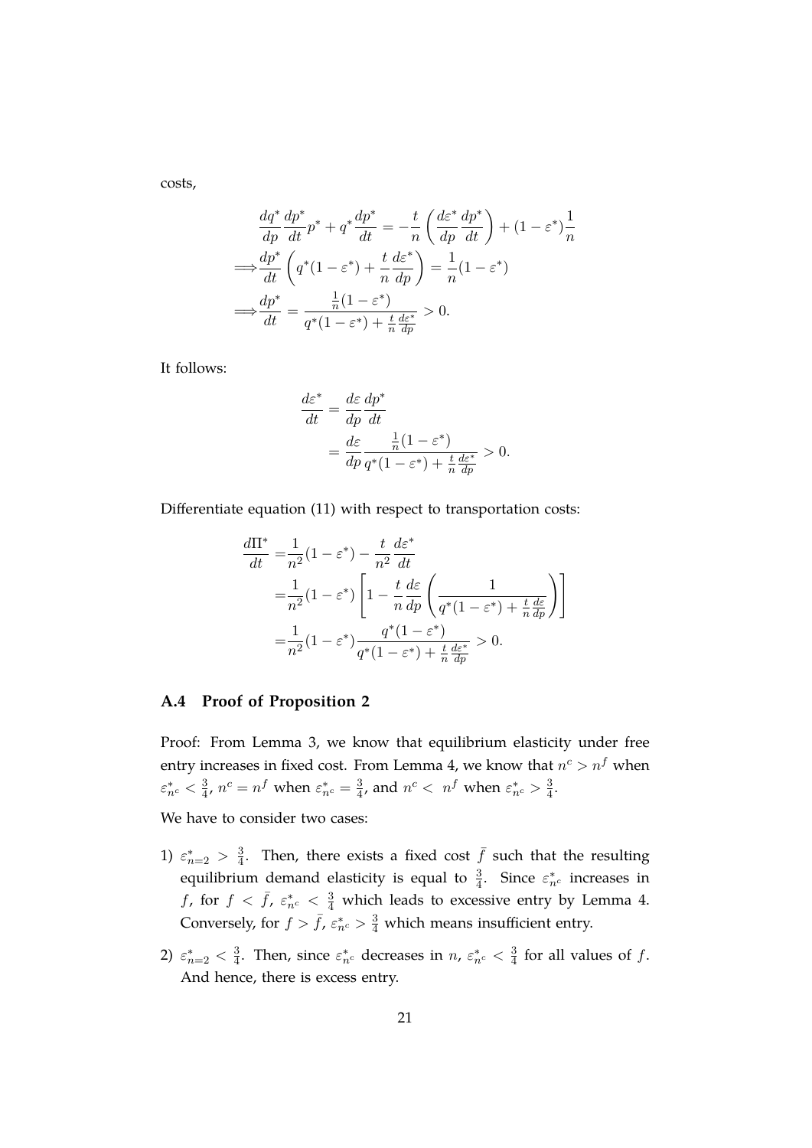costs,

$$
\frac{dq^*}{dp}\frac{dp^*}{dt}p^* + q^*\frac{dp^*}{dt} = -\frac{t}{n}\left(\frac{d\varepsilon^*}{dp}\frac{dp^*}{dt}\right) + (1 - \varepsilon^*)\frac{1}{n}
$$
\n
$$
\implies \frac{dp^*}{dt}\left(q^*(1 - \varepsilon^*) + \frac{t}{n}\frac{d\varepsilon^*}{dp}\right) = \frac{1}{n}(1 - \varepsilon^*)
$$
\n
$$
\implies \frac{dp^*}{dt} = \frac{\frac{1}{n}(1 - \varepsilon^*)}{q^*(1 - \varepsilon^*) + \frac{t}{n}\frac{d\varepsilon^*}{dp}} > 0.
$$

It follows:

$$
\frac{d\varepsilon^*}{dt} = \frac{d\varepsilon}{dp} \frac{dp^*}{dt}
$$
  
= 
$$
\frac{d\varepsilon}{dp} \frac{\frac{1}{n}(1 - \varepsilon^*)}{q^*(1 - \varepsilon^*) + \frac{t}{n}\frac{d\varepsilon^*}{dp}} > 0.
$$

Differentiate equation [\(11\)](#page-10-2) with respect to transportation costs:

$$
\frac{d\Pi^*}{dt} = \frac{1}{n^2} (1 - \varepsilon^*) - \frac{t}{n^2} \frac{d\varepsilon^*}{dt}
$$
  
\n
$$
= \frac{1}{n^2} (1 - \varepsilon^*) \left[ 1 - \frac{t}{n} \frac{d\varepsilon}{dp} \left( \frac{1}{q^*(1 - \varepsilon^*) + \frac{t}{n} \frac{d\varepsilon}{dp}} \right) \right]
$$
  
\n
$$
= \frac{1}{n^2} (1 - \varepsilon^*) \frac{q^*(1 - \varepsilon^*)}{q^*(1 - \varepsilon^*) + \frac{t}{n} \frac{d\varepsilon^*}{dp}} > 0.
$$

### **A.4 Proof of Proposition [2](#page-15-2)**

Proof: From Lemma [3,](#page-14-2) we know that equilibrium elasticity under free entry increases in fixed cost. From Lemma [4,](#page-15-0) we know that  $n^c > n^f$  when  $\varepsilon_{n^c}^* < \frac{3}{4}$  $\frac{3}{4}$ ,  $n^c = n^f$  when  $\varepsilon_{n^c}^* = \frac{3}{4}$  $\frac{3}{4}$ , and  $n^c < n^f$  when  $\varepsilon_{n^c}^* > \frac{3}{4}$  $\frac{3}{4}$ .

We have to consider two cases:

- 1)  $\varepsilon_{n=2}^{*} > \frac{3}{4}$  $\frac{3}{4}$ . Then, there exists a fixed cost  $\bar{f}$  such that the resulting equilibrium demand elasticity is equal to  $\frac{3}{4}$ . Since  $\varepsilon_{n_c}^*$  increases in f, for  $f < \bar{f}$ ,  $\varepsilon_n^*$   $< \frac{3}{4}$  which leads to excessive entry by Lemma [4.](#page-15-0) Conversely, for  $f > \bar{f}$ ,  $\varepsilon_{n_c}^* > \frac{3}{4}$  which means insufficient entry.
- 2)  $\varepsilon_{n=2}^* < \frac{3}{4}$  $\frac{3}{4}$ . Then, since  $\varepsilon_{n^c}^*$  decreases in  $n$ ,  $\varepsilon_{n^c}^* < \frac{3}{4}$  $\frac{3}{4}$  for all values of f. And hence, there is excess entry.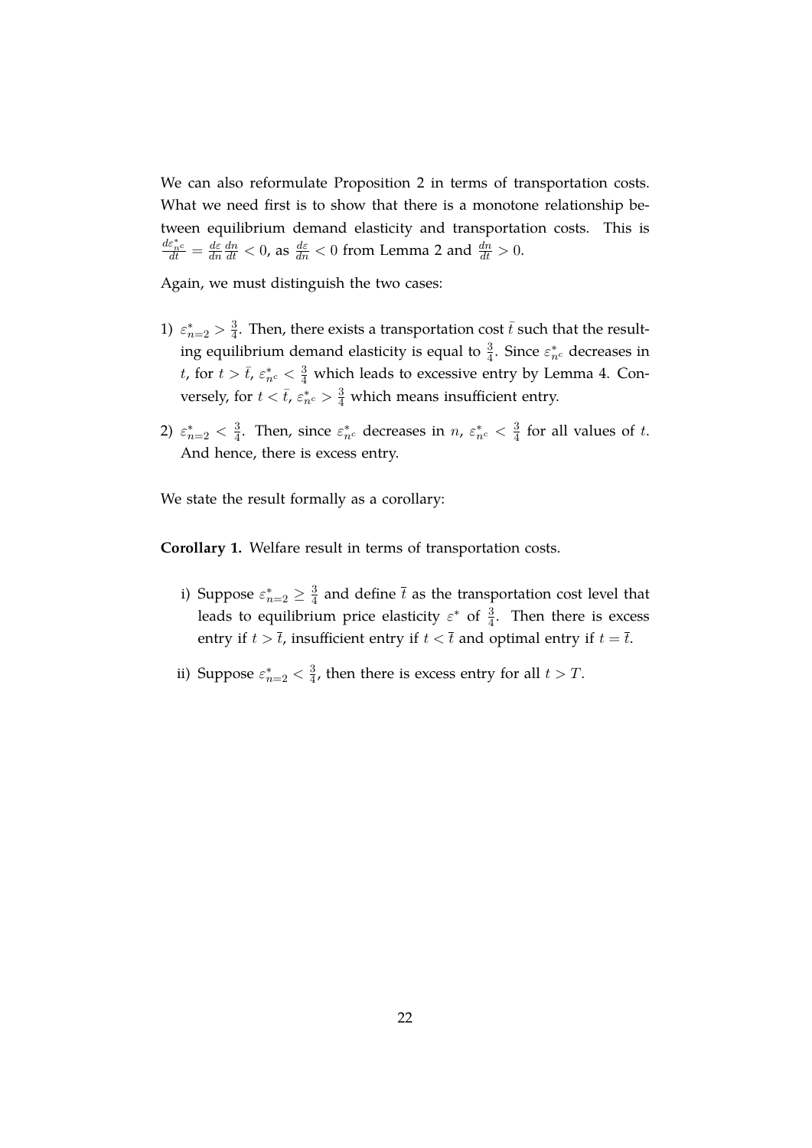We can also reformulate Proposition [2](#page-15-2) in terms of transportation costs. What we need first is to show that there is a monotone relationship between equilibrium demand elasticity and transportation costs. This is  $\frac{d\varepsilon_n^*c}{dt}=\frac{d\varepsilon}{dn}$  $\overline{dn}$  $\frac{dn}{dt} < 0$ , as  $\frac{d\varepsilon}{dn} < 0$  from Lemma [2](#page-12-0) and  $\frac{dn}{dt} > 0$ .

Again, we must distinguish the two cases:

- 1)  $\varepsilon_{n=2}^* > \frac{3}{4}$  $\frac{3}{4}$ . Then, there exists a transportation cost  $\bar{t}$  such that the resulting equilibrium demand elasticity is equal to  $\frac{3}{4}$ . Since  $\varepsilon_{n^c}^*$  decreases in *t*, for  $t > \bar{t}$ ,  $\varepsilon_{n_c}^* < \frac{3}{4}$  which leads to excessive entry by Lemma [4.](#page-15-0) Conversely, for  $t < \bar{t}$ ,  $\varepsilon_{n}^{*} > \frac{3}{4}$  which means insufficient entry.
- 2)  $\varepsilon_{n=2}^* < \frac{3}{4}$  $\frac{3}{4}$ . Then, since  $\varepsilon_{n^c}^*$  decreases in  $n$ ,  $\varepsilon_{n^c}^* < \frac{3}{4}$  $\frac{3}{4}$  for all values of t. And hence, there is excess entry.

We state the result formally as a corollary:

**Corollary 1.** Welfare result in terms of transportation costs.

- i) Suppose  $\varepsilon_{n=2}^* \geq \frac{3}{4}$  $\frac{3}{4}$  and define  $\overline{t}$  as the transportation cost level that leads to equilibrium price elasticity  $\varepsilon^*$  of  $\frac{3}{4}$ . Then there is excess entry if  $t > \overline{t}$ , insufficient entry if  $t < \overline{t}$  and optimal entry if  $t = \overline{t}$ .
- ii) Suppose  $\varepsilon_{n=2}^* < \frac{3}{4}$  $\frac{3}{4}$ , then there is excess entry for all  $t > T$ .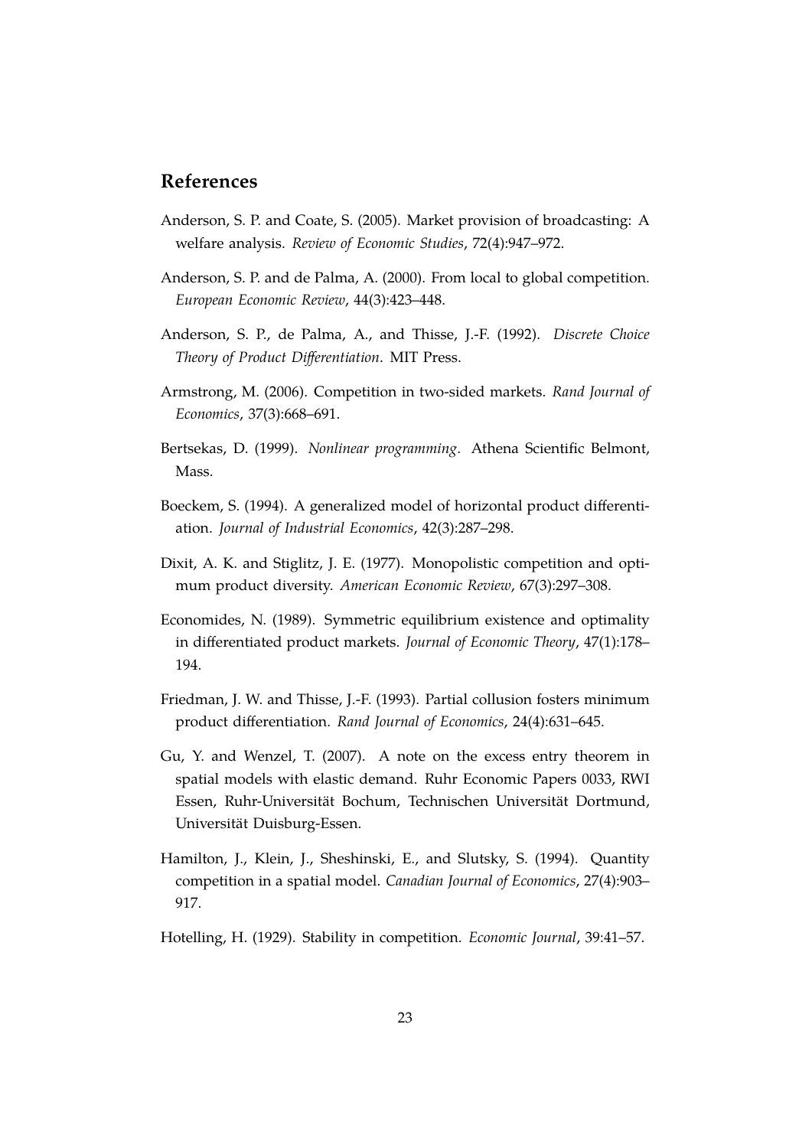# **References**

- <span id="page-24-2"></span>Anderson, S. P. and Coate, S. (2005). Market provision of broadcasting: A welfare analysis. *Review of Economic Studies*, 72(4):947–972.
- <span id="page-24-8"></span>Anderson, S. P. and de Palma, A. (2000). From local to global competition. *European Economic Review*, 44(3):423–448.
- <span id="page-24-6"></span>Anderson, S. P., de Palma, A., and Thisse, J.-F. (1992). *Discrete Choice Theory of Product Differentiation*. MIT Press.
- <span id="page-24-4"></span>Armstrong, M. (2006). Competition in two-sided markets. *Rand Journal of Economics*, 37(3):668–691.
- <span id="page-24-11"></span>Bertsekas, D. (1999). *Nonlinear programming*. Athena Scientific Belmont, Mass.
- <span id="page-24-7"></span>Boeckem, S. (1994). A generalized model of horizontal product differentiation. *Journal of Industrial Economics*, 42(3):287–298.
- <span id="page-24-5"></span>Dixit, A. K. and Stiglitz, J. E. (1977). Monopolistic competition and optimum product diversity. *American Economic Review*, 67(3):297–308.
- <span id="page-24-10"></span>Economides, N. (1989). Symmetric equilibrium existence and optimality in differentiated product markets. *Journal of Economic Theory*, 47(1):178– 194.
- <span id="page-24-3"></span>Friedman, J. W. and Thisse, J.-F. (1993). Partial collusion fosters minimum product differentiation. *Rand Journal of Economics*, 24(4):631–645.
- <span id="page-24-1"></span>Gu, Y. and Wenzel, T. (2007). A note on the excess entry theorem in spatial models with elastic demand. Ruhr Economic Papers 0033, RWI Essen, Ruhr-Universität Bochum, Technischen Universität Dortmund, Universität Duisburg-Essen.
- <span id="page-24-9"></span>Hamilton, J., Klein, J., Sheshinski, E., and Slutsky, S. (1994). Quantity competition in a spatial model. *Canadian Journal of Economics*, 27(4):903– 917.
- <span id="page-24-0"></span>Hotelling, H. (1929). Stability in competition. *Economic Journal*, 39:41–57.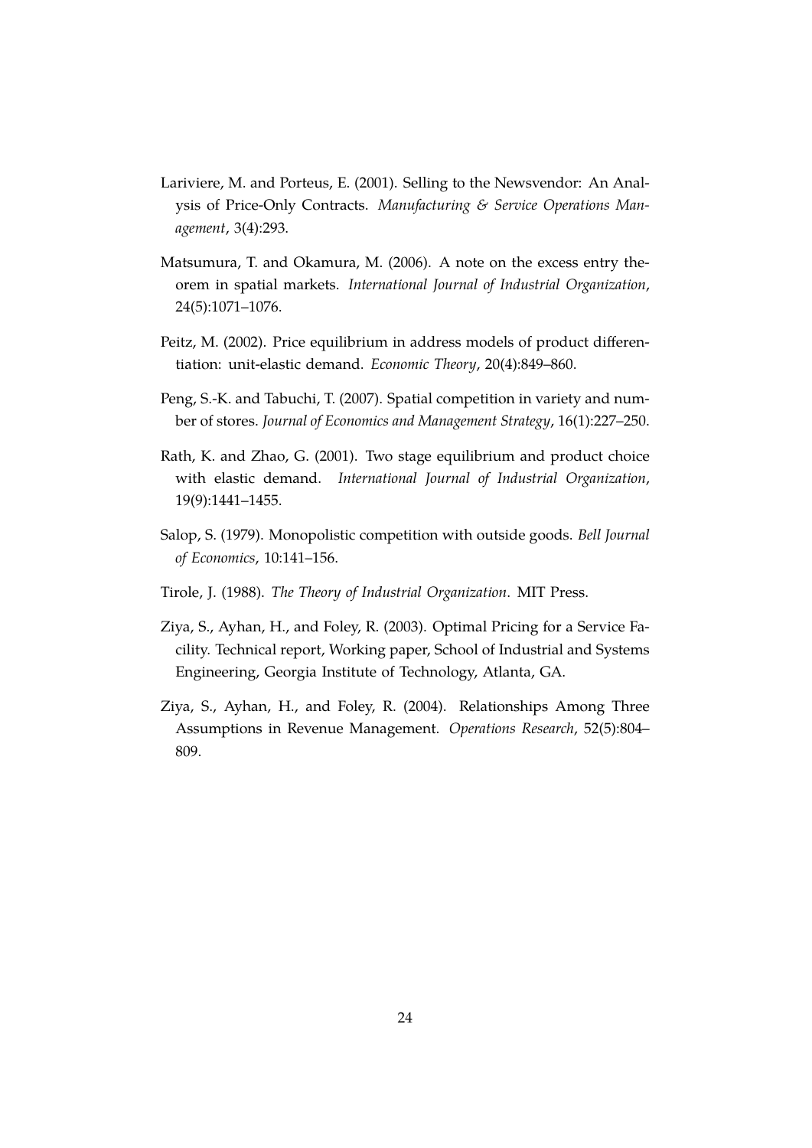- <span id="page-25-2"></span>Lariviere, M. and Porteus, E. (2001). Selling to the Newsvendor: An Analysis of Price-Only Contracts. *Manufacturing & Service Operations Management*, 3(4):293.
- <span id="page-25-1"></span>Matsumura, T. and Okamura, M. (2006). A note on the excess entry theorem in spatial markets. *International Journal of Industrial Organization*, 24(5):1071–1076.
- <span id="page-25-5"></span>Peitz, M. (2002). Price equilibrium in address models of product differentiation: unit-elastic demand. *Economic Theory*, 20(4):849–860.
- <span id="page-25-6"></span>Peng, S.-K. and Tabuchi, T. (2007). Spatial competition in variety and number of stores. *Journal of Economics and Management Strategy*, 16(1):227–250.
- <span id="page-25-4"></span>Rath, K. and Zhao, G. (2001). Two stage equilibrium and product choice with elastic demand. *International Journal of Industrial Organization*, 19(9):1441–1455.
- <span id="page-25-0"></span>Salop, S. (1979). Monopolistic competition with outside goods. *Bell Journal of Economics*, 10:141–156.
- <span id="page-25-7"></span>Tirole, J. (1988). *The Theory of Industrial Organization*. MIT Press.
- <span id="page-25-3"></span>Ziya, S., Ayhan, H., and Foley, R. (2003). Optimal Pricing for a Service Facility. Technical report, Working paper, School of Industrial and Systems Engineering, Georgia Institute of Technology, Atlanta, GA.
- <span id="page-25-8"></span>Ziya, S., Ayhan, H., and Foley, R. (2004). Relationships Among Three Assumptions in Revenue Management. *Operations Research*, 52(5):804– 809.